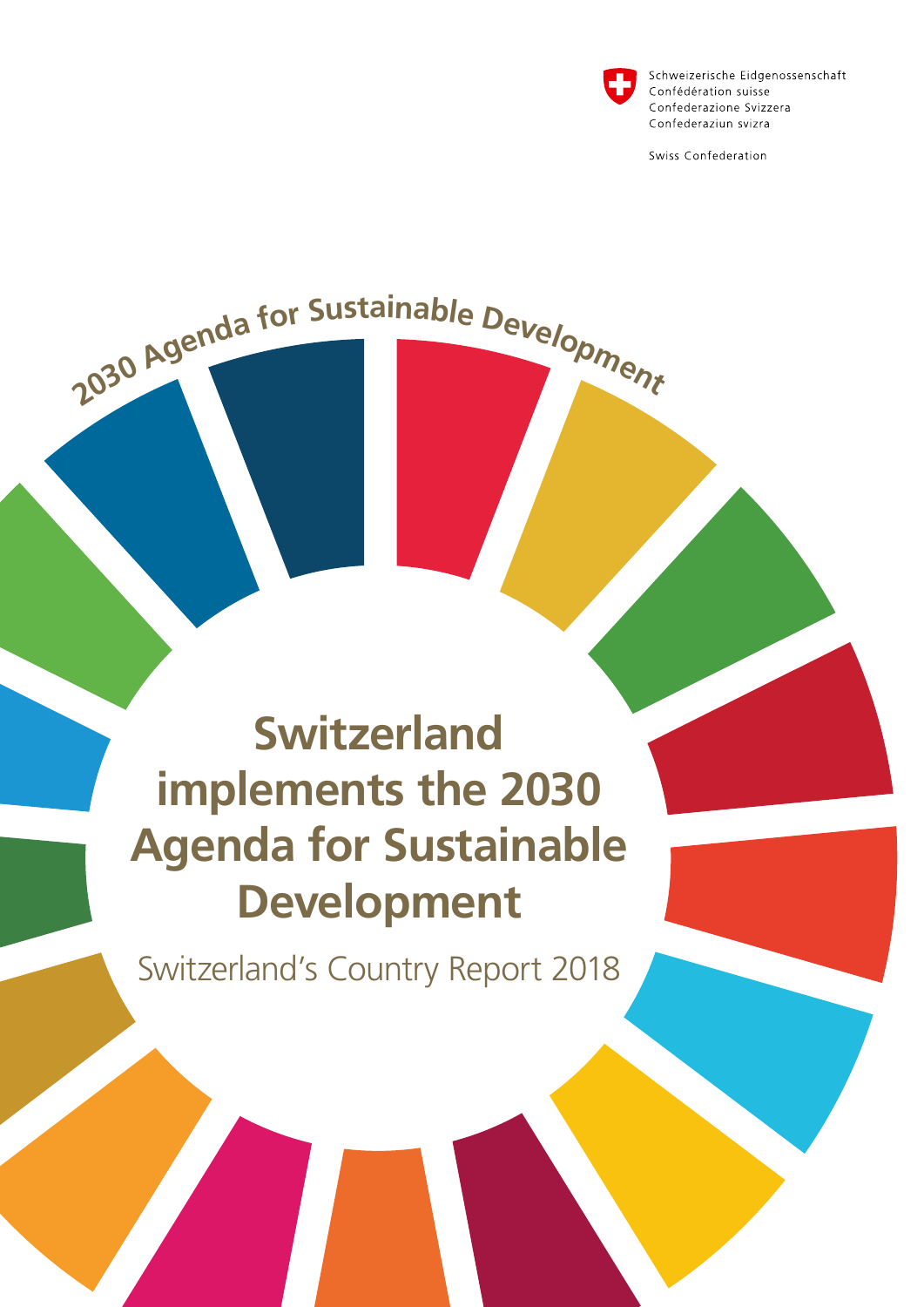

Schweizerische Eidgenossenschaft Confédération suisse Confederazione Svizzera Confederaziun svizra

Swiss Confederation

### **Switzerland implements the 2030 Agenda for Sustainable Development**

2030 Agenda for Sustainable Development

Switzerland's Country Report 2018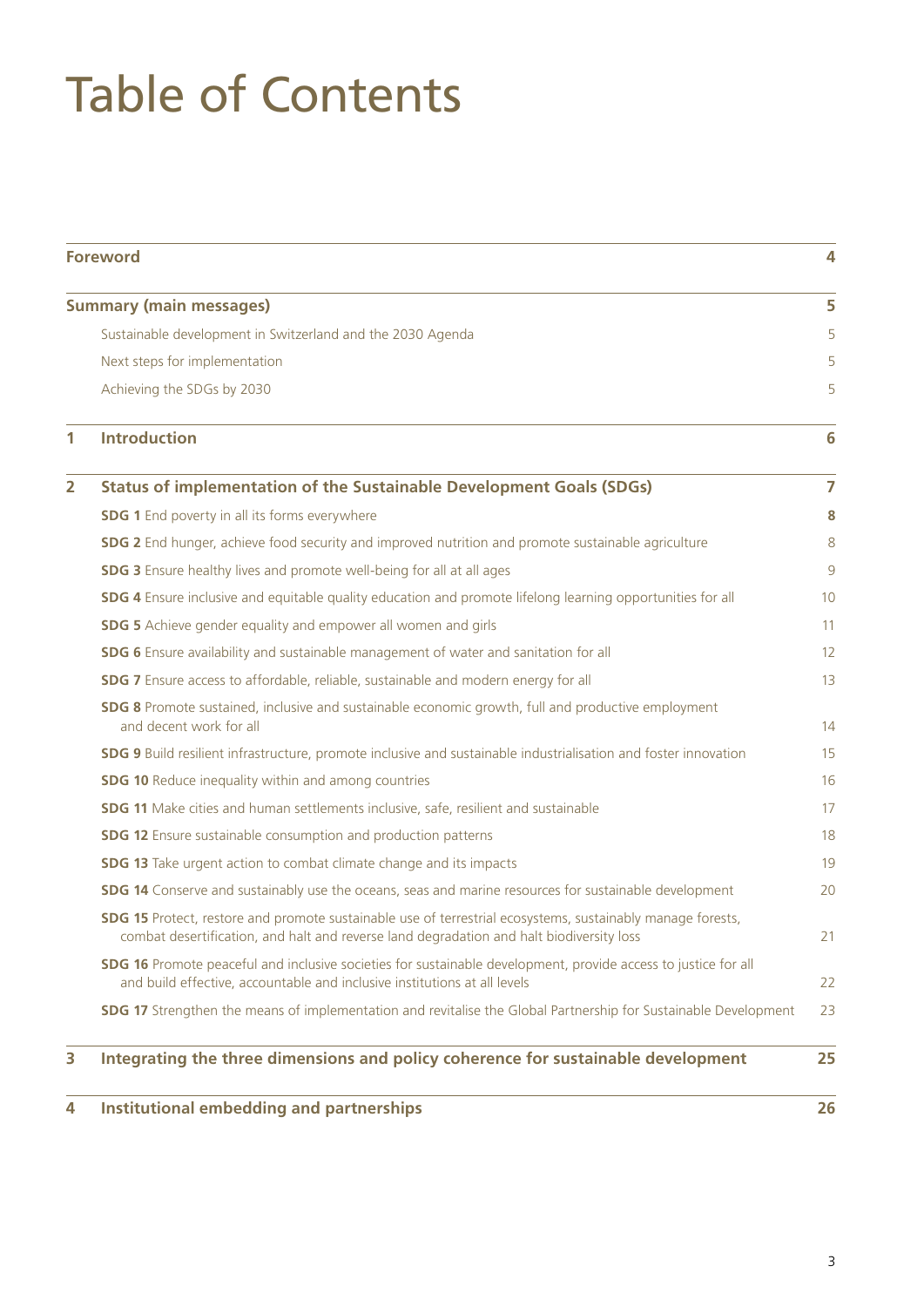# Table of Contents

|                | <b>Foreword</b>                                                                                                                                                                                               | 4  |
|----------------|---------------------------------------------------------------------------------------------------------------------------------------------------------------------------------------------------------------|----|
|                | <b>Summary (main messages)</b>                                                                                                                                                                                | 5  |
|                | Sustainable development in Switzerland and the 2030 Agenda                                                                                                                                                    | 5  |
|                | Next steps for implementation                                                                                                                                                                                 | 5  |
|                | Achieving the SDGs by 2030                                                                                                                                                                                    | 5  |
| 1              | <b>Introduction</b>                                                                                                                                                                                           | 6  |
| $\overline{2}$ | <b>Status of implementation of the Sustainable Development Goals (SDGs)</b>                                                                                                                                   | 7  |
|                | <b>SDG 1</b> End poverty in all its forms everywhere                                                                                                                                                          | 8  |
|                | SDG 2 End hunger, achieve food security and improved nutrition and promote sustainable agriculture                                                                                                            | 8  |
|                | <b>SDG 3</b> Ensure healthy lives and promote well-being for all at all ages                                                                                                                                  | 9  |
|                | <b>SDG 4</b> Ensure inclusive and equitable quality education and promote lifelong learning opportunities for all                                                                                             | 10 |
|                | <b>SDG 5</b> Achieve gender equality and empower all women and girls                                                                                                                                          | 11 |
|                | SDG 6 Ensure availability and sustainable management of water and sanitation for all                                                                                                                          | 12 |
|                | <b>SDG 7</b> Ensure access to affordable, reliable, sustainable and modern energy for all                                                                                                                     | 13 |
|                | SDG 8 Promote sustained, inclusive and sustainable economic growth, full and productive employment<br>and decent work for all                                                                                 | 14 |
|                | SDG 9 Build resilient infrastructure, promote inclusive and sustainable industrialisation and foster innovation                                                                                               | 15 |
|                | <b>SDG 10</b> Reduce inequality within and among countries                                                                                                                                                    | 16 |
|                | <b>SDG 11</b> Make cities and human settlements inclusive, safe, resilient and sustainable                                                                                                                    | 17 |
|                | <b>SDG 12</b> Ensure sustainable consumption and production patterns                                                                                                                                          | 18 |
|                | <b>SDG 13</b> Take urgent action to combat climate change and its impacts                                                                                                                                     | 19 |
|                | <b>SDG 14</b> Conserve and sustainably use the oceans, seas and marine resources for sustainable development                                                                                                  | 20 |
|                | <b>SDG 15</b> Protect, restore and promote sustainable use of terrestrial ecosystems, sustainably manage forests,<br>combat desertification, and halt and reverse land degradation and halt biodiversity loss | 21 |
|                | <b>SDG 16</b> Promote peaceful and inclusive societies for sustainable development, provide access to justice for all<br>and build effective, accountable and inclusive institutions at all levels            | 22 |
|                | <b>SDG 17</b> Strengthen the means of implementation and revitalise the Global Partnership for Sustainable Development                                                                                        | 23 |
| 3              | Integrating the three dimensions and policy coherence for sustainable development                                                                                                                             | 25 |
| 4              | <b>Institutional embedding and partnerships</b>                                                                                                                                                               | 26 |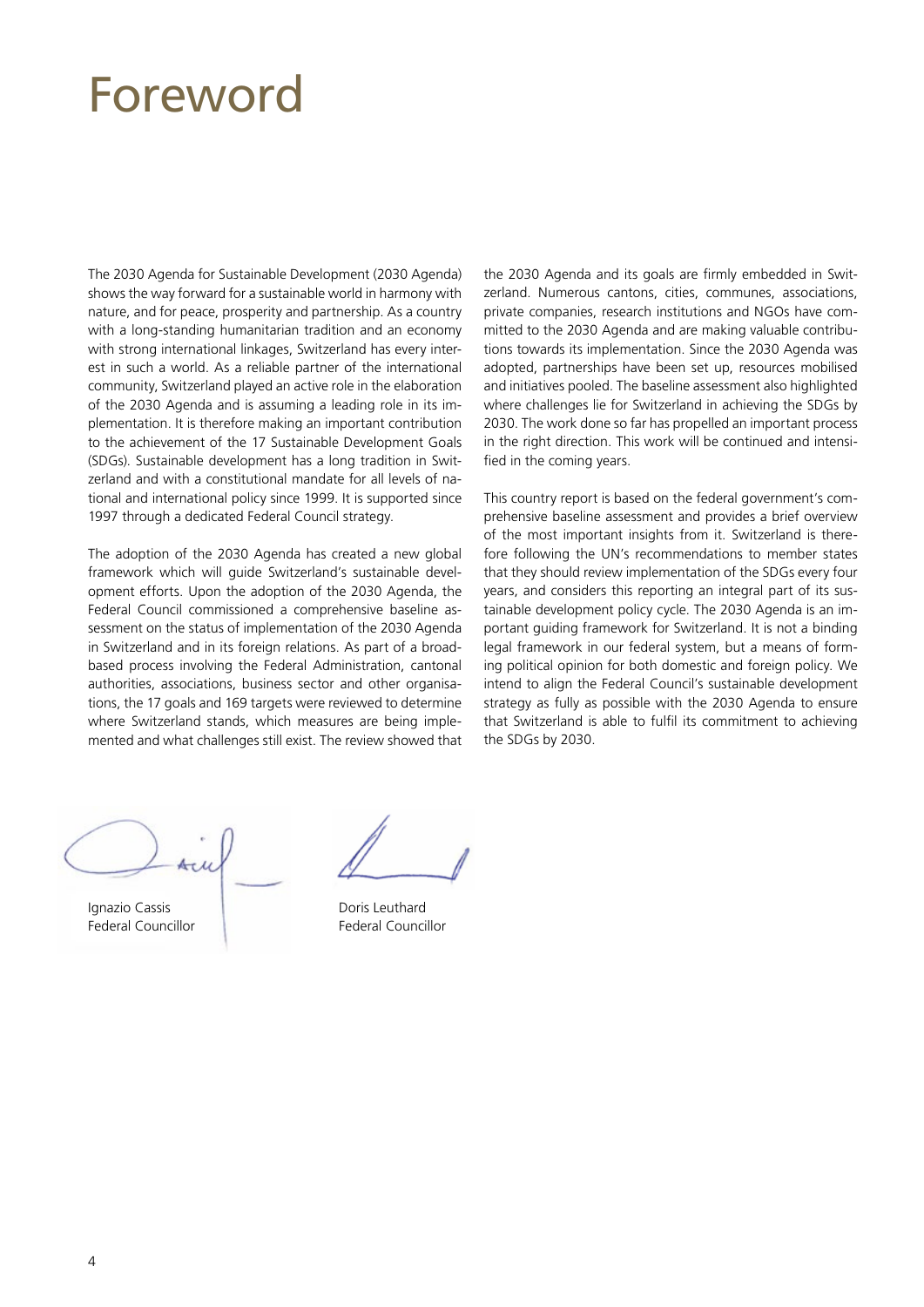### <span id="page-3-0"></span>Foreword

The 2030 Agenda for Sustainable Development (2030 Agenda) shows the way forward for a sustainable world in harmony with nature, and for peace, prosperity and partnership. As a country with a long-standing humanitarian tradition and an economy with strong international linkages, Switzerland has every interest in such a world. As a reliable partner of the international community, Switzerland played an active role in the elaboration of the 2030 Agenda and is assuming a leading role in its implementation. It is therefore making an important contribution to the achievement of the 17 Sustainable Development Goals (SDGs). Sustainable development has a long tradition in Switzerland and with a constitutional mandate for all levels of national and international policy since 1999. It is supported since 1997 through a dedicated Federal Council strategy.

The adoption of the 2030 Agenda has created a new global framework which will guide Switzerland's sustainable development efforts. Upon the adoption of the 2030 Agenda, the Federal Council commissioned a comprehensive baseline assessment on the status of implementation of the 2030 Agenda in Switzerland and in its foreign relations. As part of a broadbased process involving the Federal Administration, cantonal authorities, associations, business sector and other organisations, the 17 goals and 169 targets were reviewed to determine where Switzerland stands, which measures are being implemented and what challenges still exist. The review showed that the 2030 Agenda and its goals are firmly embedded in Switzerland. Numerous cantons, cities, communes, associations, private companies, research institutions and NGOs have committed to the 2030 Agenda and are making valuable contributions towards its implementation. Since the 2030 Agenda was adopted, partnerships have been set up, resources mobilised and initiatives pooled. The baseline assessment also highlighted where challenges lie for Switzerland in achieving the SDGs by 2030. The work done so far has propelled an important process in the right direction. This work will be continued and intensified in the coming years.

This country report is based on the federal government's comprehensive baseline assessment and provides a brief overview of the most important insights from it. Switzerland is therefore following the UN's recommendations to member states that they should review implementation of the SDGs every four years, and considers this reporting an integral part of its sustainable development policy cycle. The 2030 Agenda is an important guiding framework for Switzerland. It is not a binding legal framework in our federal system, but a means of forming political opinion for both domestic and foreign policy. We intend to align the Federal Council's sustainable development strategy as fully as possible with the 2030 Agenda to ensure that Switzerland is able to fulfil its commitment to achieving the SDGs by 2030.

Ignazio Cassis Federal Councillor

Doris Leuthard Federal Councillor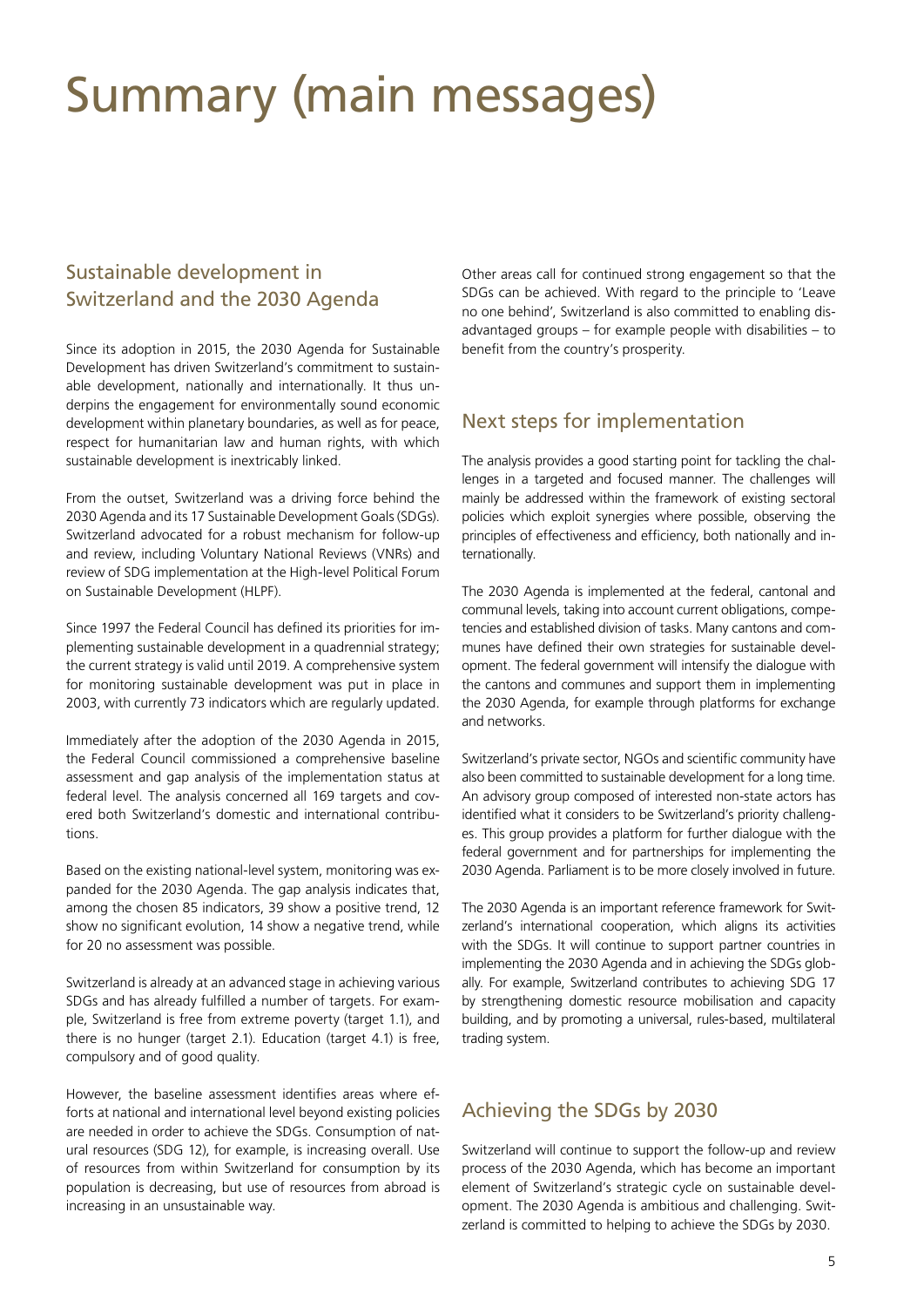### <span id="page-4-0"></span>Summary (main messages)

#### Sustainable development in Switzerland and the 2030 Agenda

Since its adoption in 2015, the 2030 Agenda for Sustainable Development has driven Switzerland's commitment to sustainable development, nationally and internationally. It thus underpins the engagement for environmentally sound economic development within planetary boundaries, as well as for peace, respect for humanitarian law and human rights, with which sustainable development is inextricably linked.

From the outset, Switzerland was a driving force behind the 2030 Agenda and its 17 Sustainable Development Goals (SDGs). Switzerland advocated for a robust mechanism for follow-up and review, including Voluntary National Reviews (VNRs) and review of SDG implementation at the High-level Political Forum on Sustainable Development (HLPF).

Since 1997 the Federal Council has defined its priorities for implementing sustainable development in a quadrennial strategy; the current strategy is valid until 2019. A comprehensive system for monitoring sustainable development was put in place in 2003, with currently 73 indicators which are regularly updated.

Immediately after the adoption of the 2030 Agenda in 2015, the Federal Council commissioned a comprehensive baseline assessment and gap analysis of the implementation status at federal level. The analysis concerned all 169 targets and covered both Switzerland's domestic and international contributions.

Based on the existing national-level system, monitoring was expanded for the 2030 Agenda. The gap analysis indicates that, among the chosen 85 indicators, 39 show a positive trend, 12 show no significant evolution, 14 show a negative trend, while for 20 no assessment was possible.

Switzerland is already at an advanced stage in achieving various SDGs and has already fulfilled a number of targets. For example, Switzerland is free from extreme poverty (target 1.1), and there is no hunger (target 2.1). Education (target 4.1) is free, compulsory and of good quality.

However, the baseline assessment identifies areas where efforts at national and international level beyond existing policies are needed in order to achieve the SDGs. Consumption of natural resources (SDG 12), for example, is increasing overall. Use of resources from within Switzerland for consumption by its population is decreasing, but use of resources from abroad is increasing in an unsustainable way.

Other areas call for continued strong engagement so that the SDGs can be achieved. With regard to the principle to 'Leave no one behind', Switzerland is also committed to enabling disadvantaged groups – for example people with disabilities – to benefit from the country's prosperity.

#### Next steps for implementation

The analysis provides a good starting point for tackling the challenges in a targeted and focused manner. The challenges will mainly be addressed within the framework of existing sectoral policies which exploit synergies where possible, observing the principles of effectiveness and efficiency, both nationally and internationally.

The 2030 Agenda is implemented at the federal, cantonal and communal levels, taking into account current obligations, competencies and established division of tasks. Many cantons and communes have defined their own strategies for sustainable development. The federal government will intensify the dialogue with the cantons and communes and support them in implementing the 2030 Agenda, for example through platforms for exchange and networks.

Switzerland's private sector, NGOs and scientific community have also been committed to sustainable development for a long time. An advisory group composed of interested non-state actors has identified what it considers to be Switzerland's priority challenges. This group provides a platform for further dialogue with the federal government and for partnerships for implementing the 2030 Agenda. Parliament is to be more closely involved in future.

The 2030 Agenda is an important reference framework for Switzerland's international cooperation, which aligns its activities with the SDGs. It will continue to support partner countries in implementing the 2030 Agenda and in achieving the SDGs globally. For example, Switzerland contributes to achieving SDG 17 by strengthening domestic resource mobilisation and capacity building, and by promoting a universal, rules-based, multilateral trading system.

#### Achieving the SDGs by 2030

Switzerland will continue to support the follow-up and review process of the 2030 Agenda, which has become an important element of Switzerland's strategic cycle on sustainable development. The 2030 Agenda is ambitious and challenging. Switzerland is committed to helping to achieve the SDGs by 2030.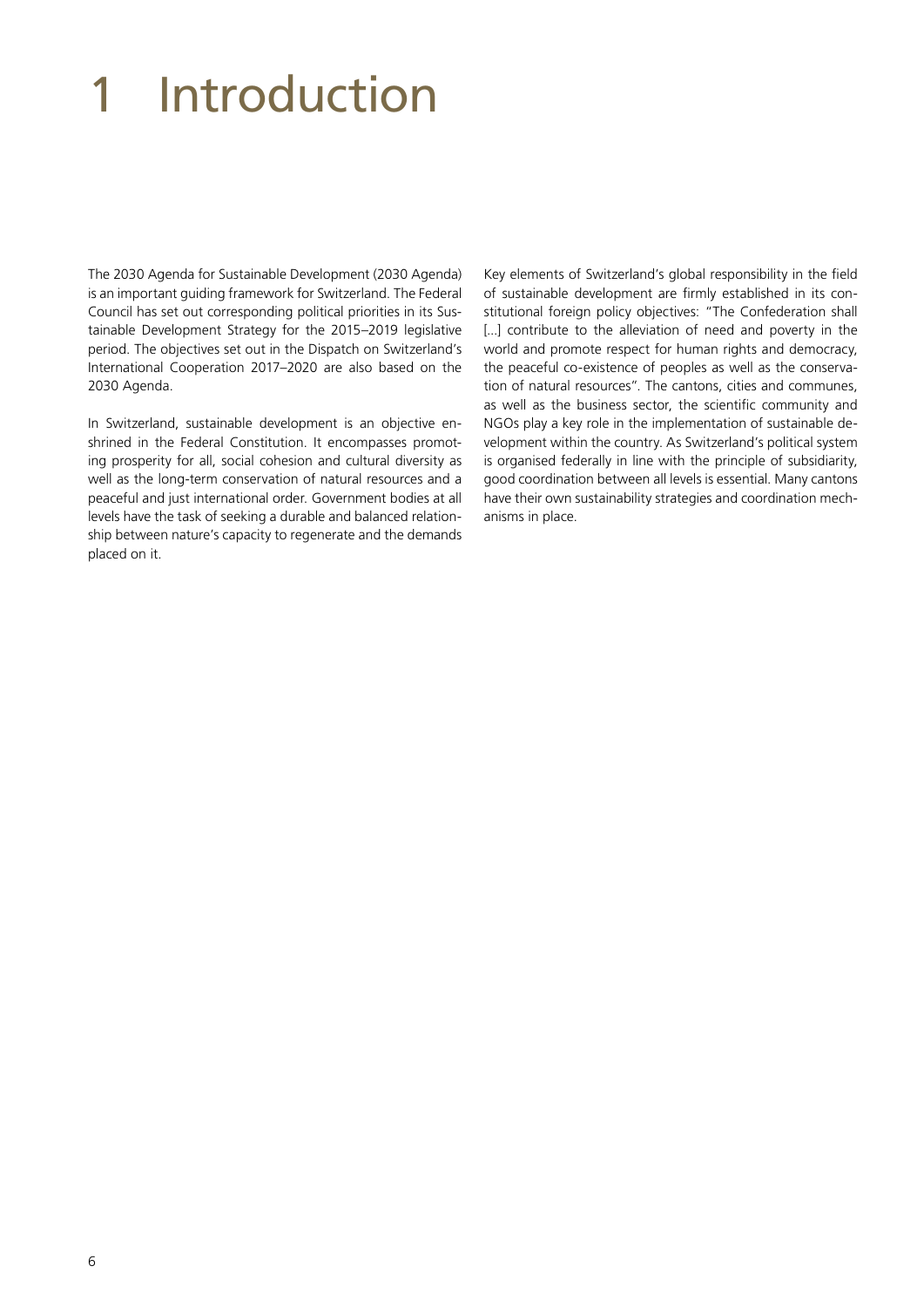# <span id="page-5-0"></span>1 Introduction

The 2030 Agenda for Sustainable Development (2030 Agenda) is an important guiding framework for Switzerland. The Federal Council has set out corresponding political priorities in its Sustainable Development Strategy for the 2015–2019 legislative period. The objectives set out in the Dispatch on Switzerland's International Cooperation 2017–2020 are also based on the 2030 Agenda.

In Switzerland, sustainable development is an objective enshrined in the Federal Constitution. It encompasses promoting prosperity for all, social cohesion and cultural diversity as well as the long-term conservation of natural resources and a peaceful and just international order. Government bodies at all levels have the task of seeking a durable and balanced relationship between nature's capacity to regenerate and the demands placed on it.

Key elements of Switzerland's global responsibility in the field of sustainable development are firmly established in its constitutional foreign policy objectives: "The Confederation shall [...] contribute to the alleviation of need and poverty in the world and promote respect for human rights and democracy, the peaceful co-existence of peoples as well as the conservation of natural resources". The cantons, cities and communes, as well as the business sector, the scientific community and NGOs play a key role in the implementation of sustainable development within the country. As Switzerland's political system is organised federally in line with the principle of subsidiarity, good coordination between all levels is essential. Many cantons have their own sustainability strategies and coordination mechanisms in place.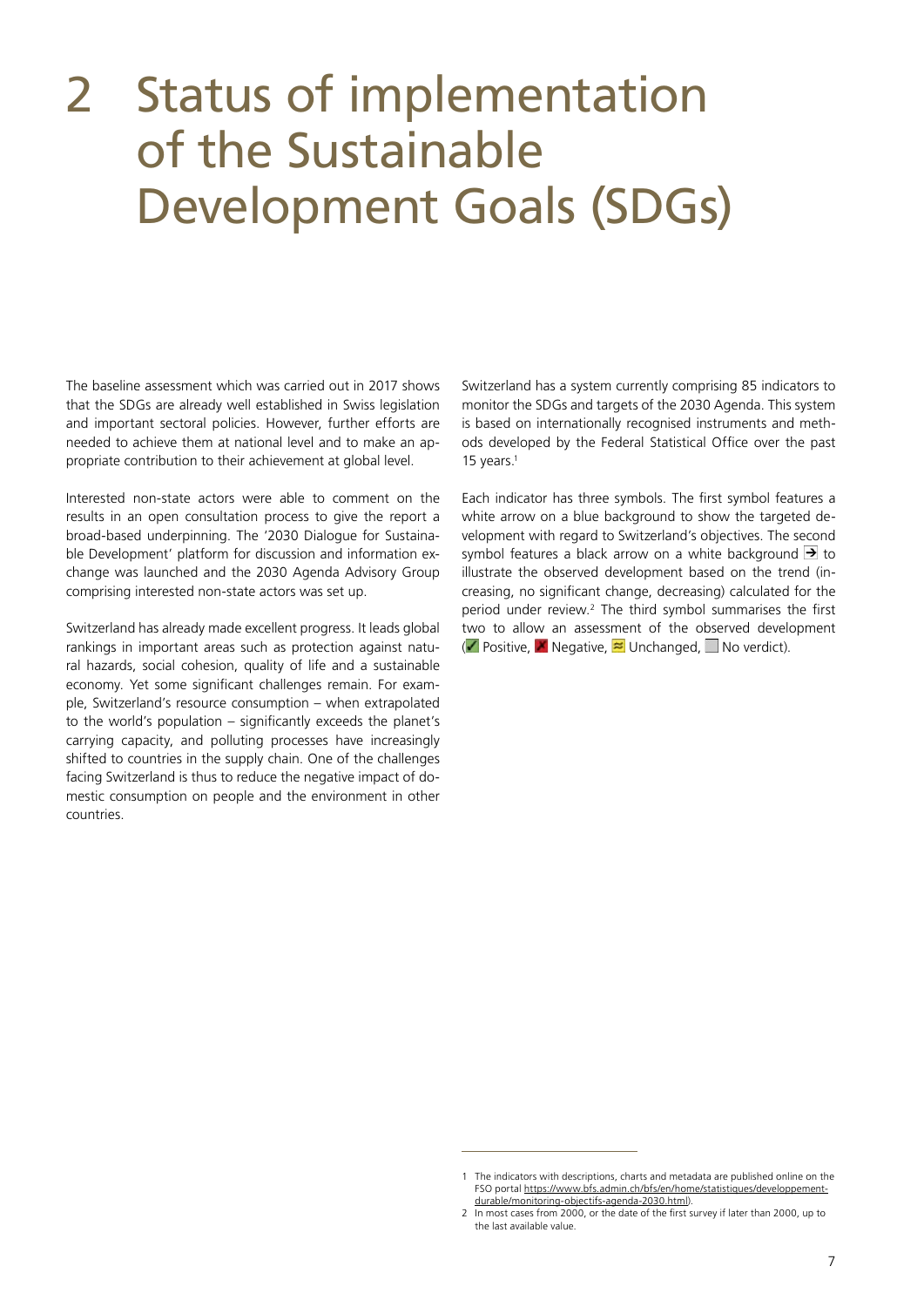### <span id="page-6-0"></span>2 Status of implementation of the Sustainable Development Goals (SDGs)

The baseline assessment which was carried out in 2017 shows that the SDGs are already well established in Swiss legislation and important sectoral policies. However, further efforts are needed to achieve them at national level and to make an appropriate contribution to their achievement at global level.

Interested non-state actors were able to comment on the results in an open consultation process to give the report a broad-based underpinning. The '2030 Dialogue for Sustainable Development' platform for discussion and information exchange was launched and the 2030 Agenda Advisory Group comprising interested non-state actors was set up.

Switzerland has already made excellent progress. It leads global rankings in important areas such as protection against natural hazards, social cohesion, quality of life and a sustainable economy. Yet some significant challenges remain. For example, Switzerland's resource consumption – when extrapolated to the world's population – significantly exceeds the planet's carrying capacity, and polluting processes have increasingly shifted to countries in the supply chain. One of the challenges facing Switzerland is thus to reduce the negative impact of domestic consumption on people and the environment in other countries.

Switzerland has a system currently comprising 85 indicators to monitor the SDGs and targets of the 2030 Agenda. This system is based on internationally recognised instruments and methods developed by the Federal Statistical Office over the past 15 years.1

Each indicator has three symbols. The first symbol features a white arrow on a blue background to show the targeted development with regard to Switzerland's objectives. The second symbol features a black arrow on a white background  $\rightarrow$  to illustrate the observed development based on the trend (increasing, no significant change, decreasing) calculated for the period under review.<sup>2</sup> The third symbol summarises the first two to allow an assessment of the observed development (**Positive, X** Negative,  $\approx$  Unchanged,  $\Box$  No verdict).

<sup>1</sup> The indicators with descriptions, charts and metadata are published online on the FSO portal [https://www.bfs.admin.ch/bfs/en/home/statistiques/developpement](https://www.bfs.admin.ch/bfs/en/home/statistics/sustainable-development/2030-agenda-goals-monitoring.html)[durable/monitoring-objectifs-agenda-2030.html](https://www.bfs.admin.ch/bfs/en/home/statistics/sustainable-development/2030-agenda-goals-monitoring.html)).

<sup>2</sup> In most cases from 2000, or the date of the first survey if later than 2000, up to the last available value.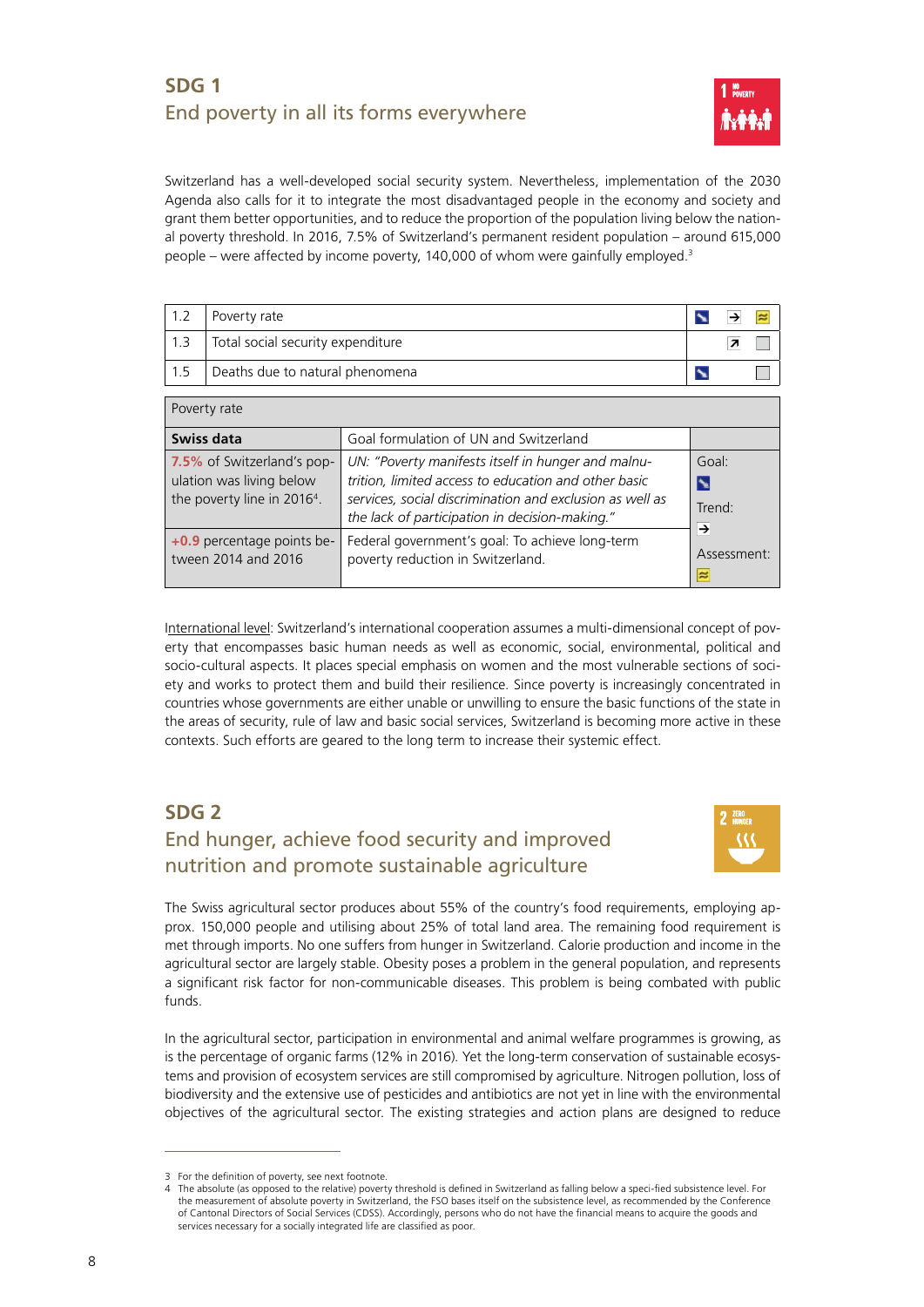#### <span id="page-7-0"></span>**SDG 1**  End poverty in all its forms everywhere



Switzerland has a well-developed social security system. Nevertheless, implementation of the 2030 Agenda also calls for it to integrate the most disadvantaged people in the economy and society and grant them better opportunities, and to reduce the proportion of the population living below the national poverty threshold. In 2016, 7.5% of Switzerland's permanent resident population – around 615,000 people – were affected by income poverty, 140,000 of whom were gainfully employed.3

|     | Poverty rate                      |  |  |
|-----|-----------------------------------|--|--|
| 1.3 | Total social security expenditure |  |  |
| 1.5 | Deaths due to natural phenomena   |  |  |

| Poverty rate                                                                                      |                                                                                                                                                                                                                          |                                      |  |  |  |  |
|---------------------------------------------------------------------------------------------------|--------------------------------------------------------------------------------------------------------------------------------------------------------------------------------------------------------------------------|--------------------------------------|--|--|--|--|
| Swiss data                                                                                        | Goal formulation of UN and Switzerland                                                                                                                                                                                   |                                      |  |  |  |  |
| 7.5% of Switzerland's pop-<br>ulation was living below<br>the poverty line in 2016 <sup>4</sup> . | UN: "Poverty manifests itself in hunger and malnu-<br>trition, limited access to education and other basic<br>services, social discrimination and exclusion as well as<br>the lack of participation in decision-making." | Goal:<br>$\mathbf{r}$<br>Trend:<br>→ |  |  |  |  |
| +0.9 percentage points be-<br>tween 2014 and 2016                                                 | Federal government's goal: To achieve long-term<br>poverty reduction in Switzerland.                                                                                                                                     | Assessment:<br>≈                     |  |  |  |  |

International level: Switzerland's international cooperation assumes a multi-dimensional concept of poverty that encompasses basic human needs as well as economic, social, environmental, political and socio-cultural aspects. It places special emphasis on women and the most vulnerable sections of society and works to protect them and build their resilience. Since poverty is increasingly concentrated in countries whose governments are either unable or unwilling to ensure the basic functions of the state in the areas of security, rule of law and basic social services, Switzerland is becoming more active in these contexts. Such efforts are geared to the long term to increase their systemic effect.

### **SDG 2**

#### End hunger, achieve food security and improved nutrition and promote sustainable agriculture



The Swiss agricultural sector produces about 55% of the country's food requirements, employing approx. 150,000 people and utilising about 25% of total land area. The remaining food requirement is met through imports. No one suffers from hunger in Switzerland. Calorie production and income in the agricultural sector are largely stable. Obesity poses a problem in the general population, and represents a significant risk factor for non-communicable diseases. This problem is being combated with public funds.

In the agricultural sector, participation in environmental and animal welfare programmes is growing, as is the percentage of organic farms (12% in 2016). Yet the long-term conservation of sustainable ecosystems and provision of ecosystem services are still compromised by agriculture. Nitrogen pollution, loss of biodiversity and the extensive use of pesticides and antibiotics are not yet in line with the environmental objectives of the agricultural sector. The existing strategies and action plans are designed to reduce

<sup>3</sup> For the definition of poverty, see next footnote.

<sup>4</sup> The absolute (as opposed to the relative) poverty threshold is defined in Switzerland as falling below a speci-fied subsistence level. For the measurement of absolute poverty in Switzerland, the FSO bases itself on the subsistence level, as recommended by the Conference of Cantonal Directors of Social Services (CDSS). Accordingly, persons who do not have the financial means to acquire the goods and services necessary for a socially integrated life are classified as poor.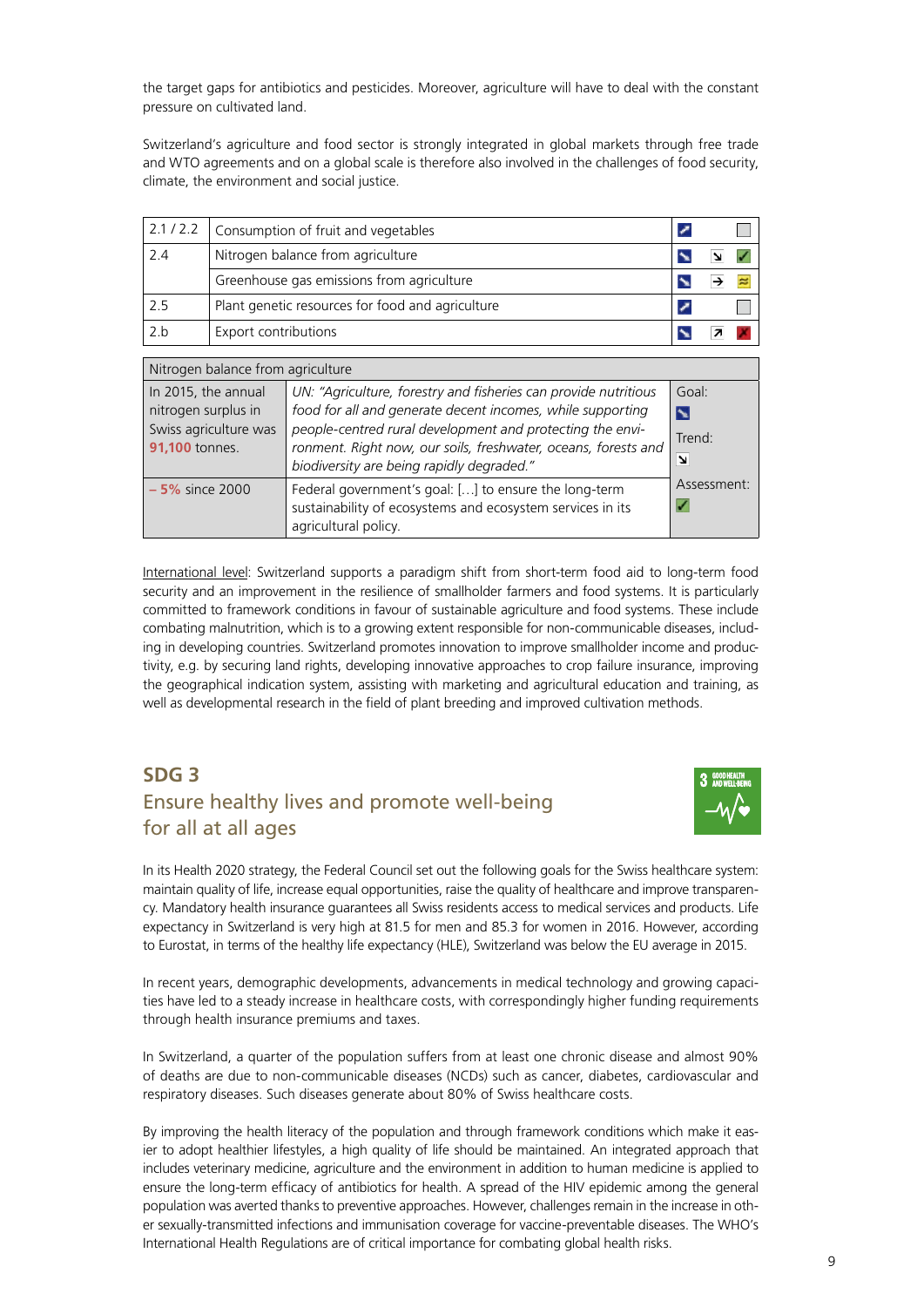<span id="page-8-0"></span>the target gaps for antibiotics and pesticides. Moreover, agriculture will have to deal with the constant pressure on cultivated land.

Switzerland's agriculture and food sector is strongly integrated in global markets through free trade and WTO agreements and on a global scale is therefore also involved in the challenges of food security, climate, the environment and social justice.

| 2.1 / 2.2           |                                           | Consumption of fruit and vegetables                                                                                                                                                                                                                                                            |        |  |  |
|---------------------|-------------------------------------------|------------------------------------------------------------------------------------------------------------------------------------------------------------------------------------------------------------------------------------------------------------------------------------------------|--------|--|--|
| 2.4                 |                                           | Nitrogen balance from agriculture                                                                                                                                                                                                                                                              |        |  |  |
|                     | Greenhouse gas emissions from agriculture |                                                                                                                                                                                                                                                                                                |        |  |  |
| 2.5                 |                                           | Plant genetic resources for food and agriculture                                                                                                                                                                                                                                               |        |  |  |
| 2.b                 | Export contributions                      |                                                                                                                                                                                                                                                                                                |        |  |  |
|                     |                                           |                                                                                                                                                                                                                                                                                                |        |  |  |
|                     | Nitrogen balance from agriculture         |                                                                                                                                                                                                                                                                                                |        |  |  |
| In 2015, the annual |                                           | UN: "Agriculture, forestry and fisheries can provide nutritious                                                                                                                                                                                                                                | Goal:  |  |  |
| nitrogen surplus in |                                           | food for all and generate decent incomes, while supporting                                                                                                                                                                                                                                     | N      |  |  |
| $\sim$ 4000 $\sim$  | Swiss agriculture was                     | people-centred rural development and protecting the envi-<br>$\mathbf{r}$ , and the contract of the contract of the contract of the contract of the contract of the contract of the contract of the contract of the contract of the contract of the contract of the contract of the contract o | Trend: |  |  |

| <b>91,100</b> tonnes. | ronment. Right now, our soils, freshwater, oceans, forests and<br>biodiversity are being rapidly degraded." | 115119.<br>$\mathbf{z}$ |
|-----------------------|-------------------------------------------------------------------------------------------------------------|-------------------------|
| $-5\%$ since 2000     | Federal government's goal: [] to ensure the long-term                                                       | Assessment:<br>✓        |
|                       | sustainability of ecosystems and ecosystem services in its<br>agricultural policy.                          |                         |

International level: Switzerland supports a paradigm shift from short-term food aid to long-term food security and an improvement in the resilience of smallholder farmers and food systems. It is particularly committed to framework conditions in favour of sustainable agriculture and food systems. These include combating malnutrition, which is to a growing extent responsible for non-communicable diseases, including in developing countries. Switzerland promotes innovation to improve smallholder income and productivity, e.g. by securing land rights, developing innovative approaches to crop failure insurance, improving the geographical indication system, assisting with marketing and agricultural education and training, as well as developmental research in the field of plant breeding and improved cultivation methods.

### **SDG 3** Ensure healthy lives and promote well-being for all at all ages



In its Health 2020 strategy, the Federal Council set out the following goals for the Swiss healthcare system: maintain quality of life, increase equal opportunities, raise the quality of healthcare and improve transparency. Mandatory health insurance guarantees all Swiss residents access to medical services and products. Life expectancy in Switzerland is very high at 81.5 for men and 85.3 for women in 2016. However, according to Eurostat, in terms of the healthy life expectancy (HLE), Switzerland was below the EU average in 2015.

In recent years, demographic developments, advancements in medical technology and growing capacities have led to a steady increase in healthcare costs, with correspondingly higher funding requirements through health insurance premiums and taxes.

In Switzerland, a quarter of the population suffers from at least one chronic disease and almost 90% of deaths are due to non-communicable diseases (NCDs) such as cancer, diabetes, cardiovascular and respiratory diseases. Such diseases generate about 80% of Swiss healthcare costs.

By improving the health literacy of the population and through framework conditions which make it easier to adopt healthier lifestyles, a high quality of life should be maintained. An integrated approach that includes veterinary medicine, agriculture and the environment in addition to human medicine is applied to ensure the long-term efficacy of antibiotics for health. A spread of the HIV epidemic among the general population was averted thanks to preventive approaches. However, challenges remain in the increase in other sexually-transmitted infections and immunisation coverage for vaccine-preventable diseases. The WHO's International Health Regulations are of critical importance for combating global health risks.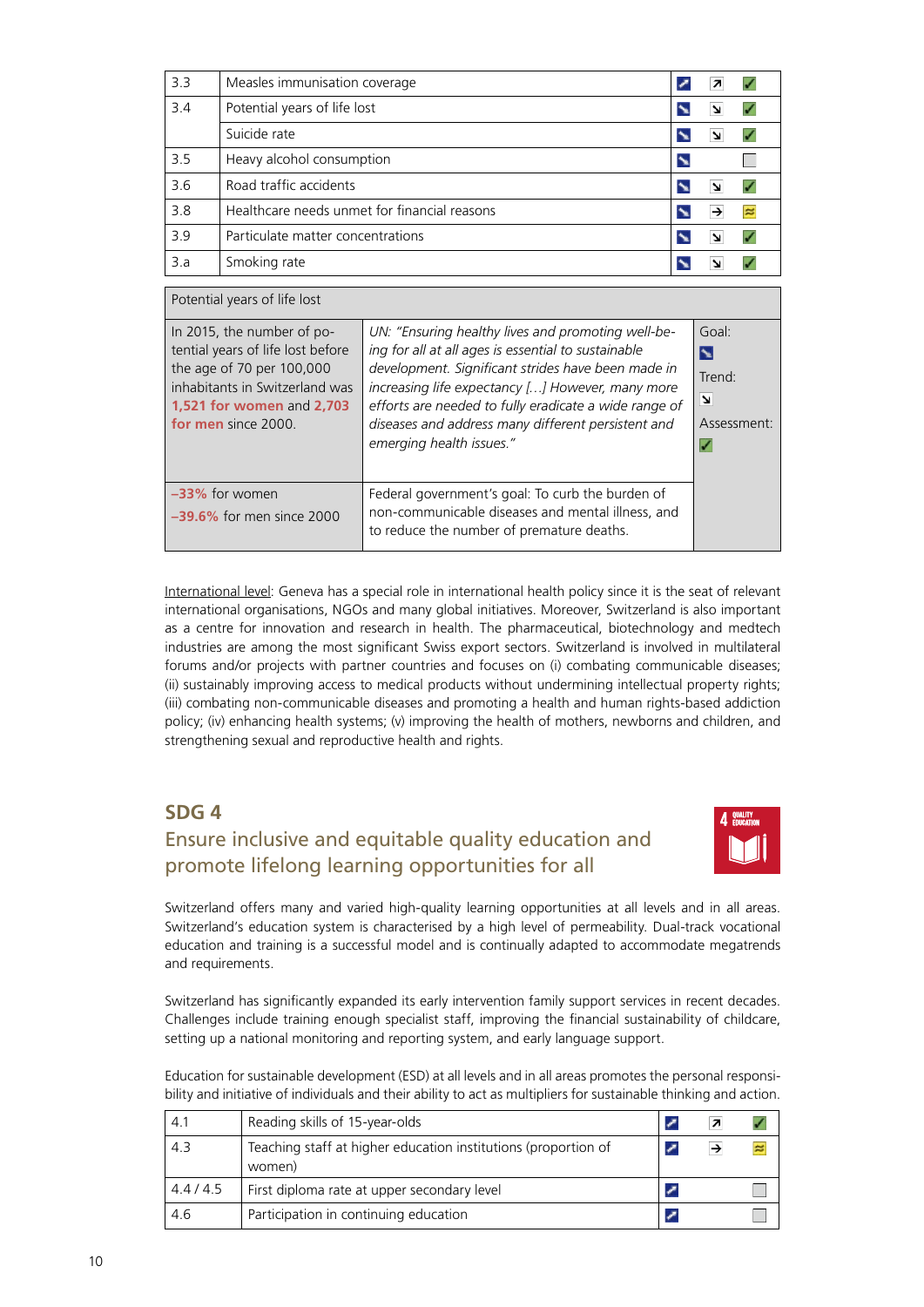<span id="page-9-0"></span>

| 3.3 | Measles immunisation coverage                |  |  |
|-----|----------------------------------------------|--|--|
| 3.4 | Potential years of life lost                 |  |  |
|     | Suicide rate                                 |  |  |
| 3.5 | Heavy alcohol consumption                    |  |  |
| 3.6 | Road traffic accidents                       |  |  |
| 3.8 | Healthcare needs unmet for financial reasons |  |  |
| 3.9 | Particulate matter concentrations            |  |  |
| 3.a | Smoking rate                                 |  |  |

| Potential years of life lost |                                                                                                                                                                                    |                                                                                                                                                                                                                                                                                                                                                                |                                                                     |  |
|------------------------------|------------------------------------------------------------------------------------------------------------------------------------------------------------------------------------|----------------------------------------------------------------------------------------------------------------------------------------------------------------------------------------------------------------------------------------------------------------------------------------------------------------------------------------------------------------|---------------------------------------------------------------------|--|
|                              | In 2015, the number of po-<br>tential years of life lost before<br>the age of 70 per 100,000<br>inhabitants in Switzerland was<br>1,521 for women and 2,703<br>for men since 2000. | UN: "Ensuring healthy lives and promoting well-be-<br>ing for all at all ages is essential to sustainable<br>development. Significant strides have been made in<br>increasing life expectancy [] However, many more<br>efforts are needed to fully eradicate a wide range of<br>diseases and address many different persistent and<br>emerging health issues." | Goal:<br>N<br>Trend:<br>$\overline{\mathbf{z}}$<br>Assessment:<br>✓ |  |
|                              | $-33\%$ for women<br>$-39.6\%$ for men since 2000                                                                                                                                  | Federal government's goal: To curb the burden of<br>non-communicable diseases and mental illness, and<br>to reduce the number of premature deaths.                                                                                                                                                                                                             |                                                                     |  |

International level: Geneva has a special role in international health policy since it is the seat of relevant international organisations, NGOs and many global initiatives. Moreover, Switzerland is also important as a centre for innovation and research in health. The pharmaceutical, biotechnology and medtech industries are among the most significant Swiss export sectors. Switzerland is involved in multilateral forums and/or projects with partner countries and focuses on (i) combating communicable diseases; (ii) sustainably improving access to medical products without undermining intellectual property rights; (iii) combating non-communicable diseases and promoting a health and human rights-based addiction policy; (iv) enhancing health systems; (v) improving the health of mothers, newborns and children, and strengthening sexual and reproductive health and rights.

#### **SDG 4**

#### Ensure inclusive and equitable quality education and promote lifelong learning opportunities for all



Switzerland offers many and varied high-quality learning opportunities at all levels and in all areas. Switzerland's education system is characterised by a high level of permeability. Dual-track vocational education and training is a successful model and is continually adapted to accommodate megatrends and requirements.

Switzerland has significantly expanded its early intervention family support services in recent decades. Challenges include training enough specialist staff, improving the financial sustainability of childcare, setting up a national monitoring and reporting system, and early language support.

Education for sustainable development (ESD) at all levels and in all areas promotes the personal responsibility and initiative of individuals and their ability to act as multipliers for sustainable thinking and action.

| 4.1     | Reading skills of 15-year-olds                                           |  |           |
|---------|--------------------------------------------------------------------------|--|-----------|
| 4.3     | Teaching staff at higher education institutions (proportion of<br>women) |  | $\approx$ |
| 4.4/4.5 | First diploma rate at upper secondary level                              |  |           |
| 4.6     | Participation in continuing education                                    |  |           |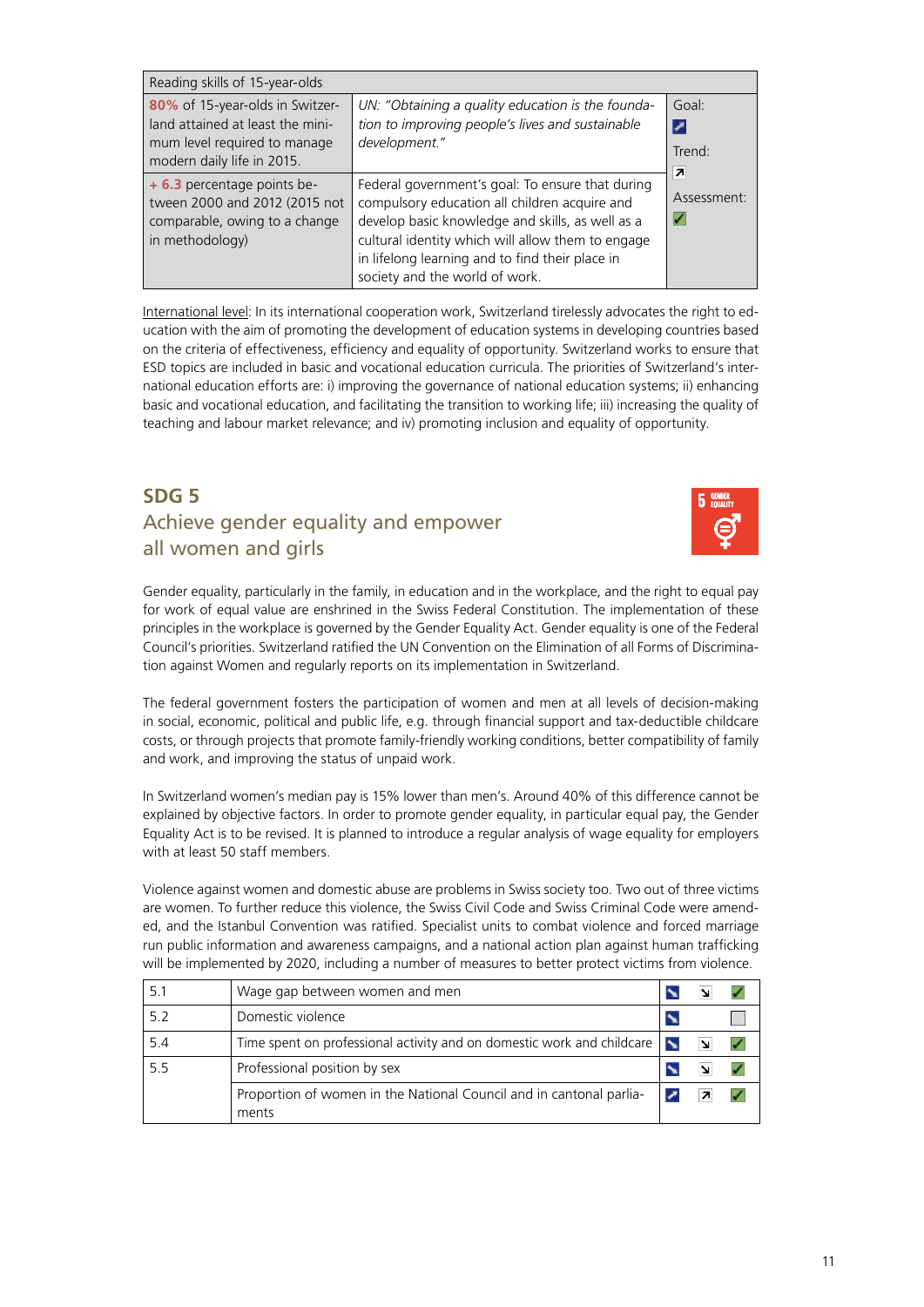<span id="page-10-0"></span>

| Reading skills of 15-year-olds                                                                                                    |                                                                                                                                                                                                                                                                                                 |                      |  |  |  |
|-----------------------------------------------------------------------------------------------------------------------------------|-------------------------------------------------------------------------------------------------------------------------------------------------------------------------------------------------------------------------------------------------------------------------------------------------|----------------------|--|--|--|
| 80% of 15-year-olds in Switzer-<br>land attained at least the mini-<br>mum level required to manage<br>modern daily life in 2015. | UN: "Obtaining a quality education is the founda-<br>tion to improving people's lives and sustainable<br>development."                                                                                                                                                                          | Goal:<br>Trend:<br>7 |  |  |  |
| + 6.3 percentage points be-<br>tween 2000 and 2012 (2015 not<br>comparable, owing to a change<br>in methodology)                  | Federal government's goal: To ensure that during<br>compulsory education all children acquire and<br>develop basic knowledge and skills, as well as a<br>cultural identity which will allow them to engage<br>in lifelong learning and to find their place in<br>society and the world of work. | Assessment:<br>V     |  |  |  |

International level: In its international cooperation work, Switzerland tirelessly advocates the right to education with the aim of promoting the development of education systems in developing countries based on the criteria of effectiveness, efficiency and equality of opportunity. Switzerland works to ensure that ESD topics are included in basic and vocational education curricula. The priorities of Switzerland's international education efforts are: i) improving the governance of national education systems; ii) enhancing basic and vocational education, and facilitating the transition to working life; iii) increasing the quality of teaching and labour market relevance; and iv) promoting inclusion and equality of opportunity.

#### **SDG 5** Achieve gender equality and empower all women and girls



Gender equality, particularly in the family, in education and in the workplace, and the right to equal pay for work of equal value are enshrined in the Swiss Federal Constitution. The implementation of these principles in the workplace is governed by the Gender Equality Act. Gender equality is one of the Federal Council's priorities. Switzerland ratified the UN Convention on the Elimination of all Forms of Discrimination against Women and regularly reports on its implementation in Switzerland.

The federal government fosters the participation of women and men at all levels of decision-making in social, economic, political and public life, e.g. through financial support and tax-deductible childcare costs, or through projects that promote family-friendly working conditions, better compatibility of family and work, and improving the status of unpaid work.

In Switzerland women's median pay is 15% lower than men's. Around 40% of this difference cannot be explained by objective factors. In order to promote gender equality, in particular equal pay, the Gender Equality Act is to be revised. It is planned to introduce a regular analysis of wage equality for employers with at least 50 staff members.

Violence against women and domestic abuse are problems in Swiss society too. Two out of three victims are women. To further reduce this violence, the Swiss Civil Code and Swiss Criminal Code were amended, and the Istanbul Convention was ratified. Specialist units to combat violence and forced marriage run public information and awareness campaigns, and a national action plan against human trafficking will be implemented by 2020, including a number of measures to better protect victims from violence.

| 5.1 | Wage gap between women and men                                               |  |  |
|-----|------------------------------------------------------------------------------|--|--|
| 5.2 | Domestic violence                                                            |  |  |
| 5.4 | Time spent on professional activity and on domestic work and childcare       |  |  |
| 5.5 | Professional position by sex                                                 |  |  |
|     | Proportion of women in the National Council and in cantonal parlia-<br>ments |  |  |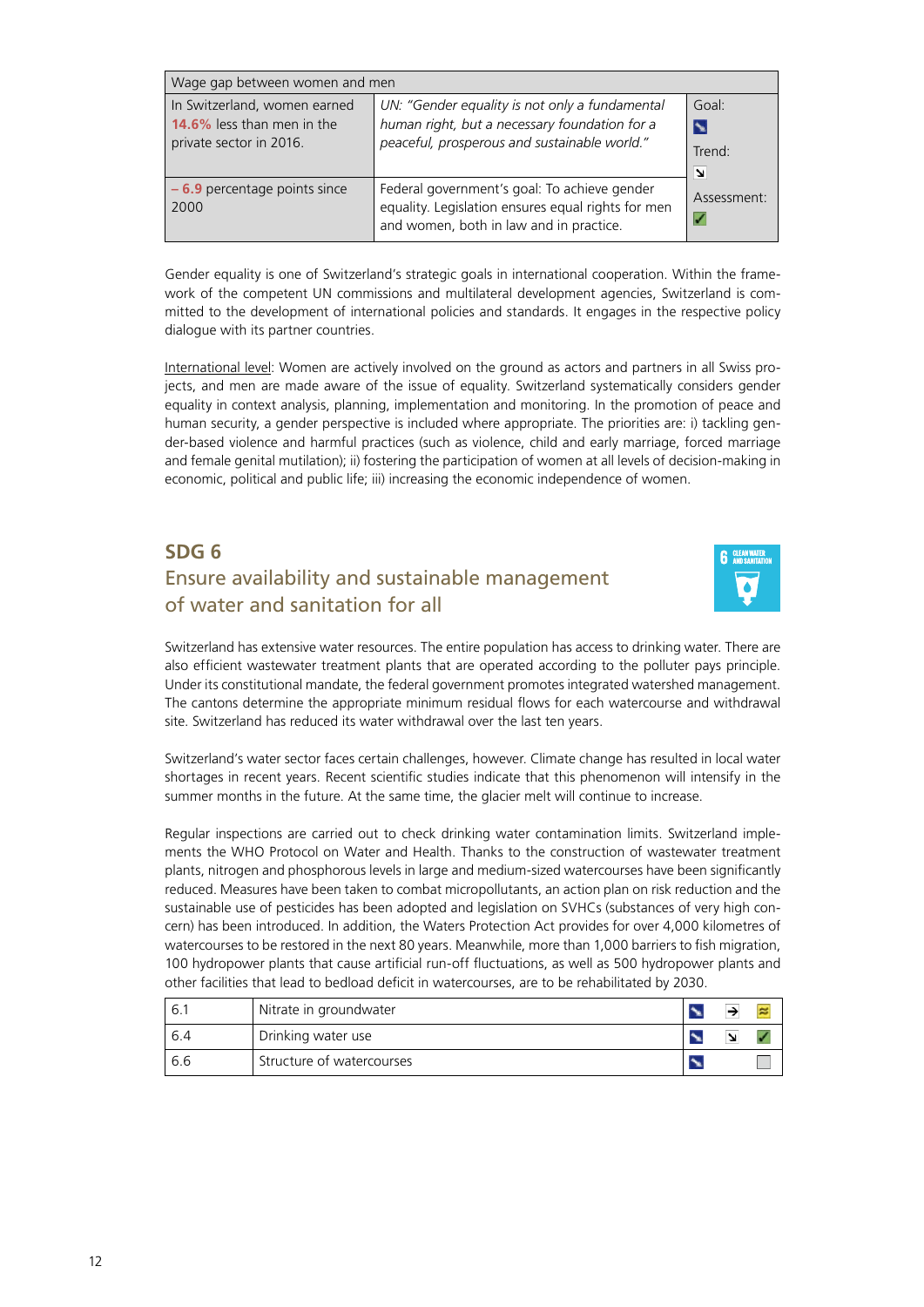<span id="page-11-0"></span>

| Wage gap between women and men                                                        |                                                                                                                                                 |                           |  |  |  |  |
|---------------------------------------------------------------------------------------|-------------------------------------------------------------------------------------------------------------------------------------------------|---------------------------|--|--|--|--|
| In Switzerland, women earned<br>14.6% less than men in the<br>private sector in 2016. | UN: "Gender equality is not only a fundamental<br>human right, but a necessary foundation for a<br>peaceful, prosperous and sustainable world." | Goal:<br>N<br>Trend:<br>N |  |  |  |  |
| $-6.9$ percentage points since<br>2000                                                | Federal government's goal: To achieve gender<br>equality. Legislation ensures equal rights for men<br>and women, both in law and in practice.   | Assessment:               |  |  |  |  |

Gender equality is one of Switzerland's strategic goals in international cooperation. Within the framework of the competent UN commissions and multilateral development agencies, Switzerland is committed to the development of international policies and standards. It engages in the respective policy dialogue with its partner countries.

International level: Women are actively involved on the ground as actors and partners in all Swiss projects, and men are made aware of the issue of equality. Switzerland systematically considers gender equality in context analysis, planning, implementation and monitoring. In the promotion of peace and human security, a gender perspective is included where appropriate. The priorities are: i) tackling gender-based violence and harmful practices (such as violence, child and early marriage, forced marriage and female genital mutilation); ii) fostering the participation of women at all levels of decision-making in economic, political and public life; iii) increasing the economic independence of women.

#### **SDG 6** Ensure availability and sustainable management of water and sanitation for all



Switzerland has extensive water resources. The entire population has access to drinking water. There are also efficient wastewater treatment plants that are operated according to the polluter pays principle. Under its constitutional mandate, the federal government promotes integrated watershed management. The cantons determine the appropriate minimum residual flows for each watercourse and withdrawal site. Switzerland has reduced its water withdrawal over the last ten years.

Switzerland's water sector faces certain challenges, however. Climate change has resulted in local water shortages in recent years. Recent scientific studies indicate that this phenomenon will intensify in the summer months in the future. At the same time, the glacier melt will continue to increase.

Regular inspections are carried out to check drinking water contamination limits. Switzerland implements the WHO Protocol on Water and Health. Thanks to the construction of wastewater treatment plants, nitrogen and phosphorous levels in large and medium-sized watercourses have been significantly reduced. Measures have been taken to combat micropollutants, an action plan on risk reduction and the sustainable use of pesticides has been adopted and legislation on SVHCs (substances of very high concern) has been introduced. In addition, the Waters Protection Act provides for over 4,000 kilometres of watercourses to be restored in the next 80 years. Meanwhile, more than 1,000 barriers to fish migration, 100 hydropower plants that cause artificial run-off fluctuations, as well as 500 hydropower plants and other facilities that lead to bedload deficit in watercourses, are to be rehabilitated by 2030.

| 6.1 | Nitrate in groundwater    |   | × |
|-----|---------------------------|---|---|
| 6.4 | Drinking water use        | N |   |
| 6.6 | Structure of watercourses |   |   |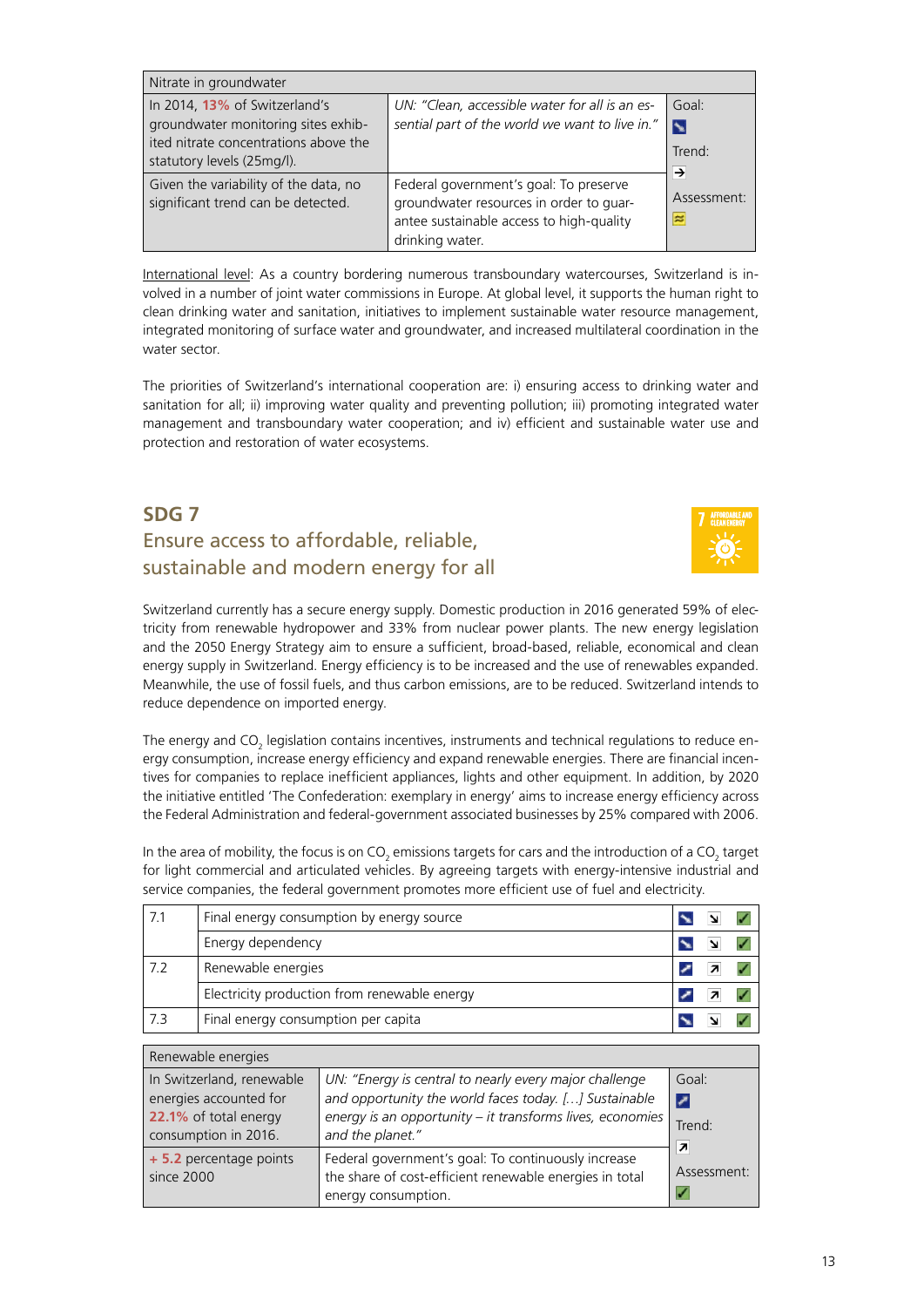<span id="page-12-0"></span>

| Nitrate in groundwater                                                                                                                      |                                                                                                                                                  |                                          |
|---------------------------------------------------------------------------------------------------------------------------------------------|--------------------------------------------------------------------------------------------------------------------------------------------------|------------------------------------------|
| In 2014, 13% of Switzerland's<br>groundwater monitoring sites exhib-<br>ited nitrate concentrations above the<br>statutory levels (25mg/l). | UN: "Clean, accessible water for all is an es-<br>sential part of the world we want to live in."                                                 | Goal:<br>$\blacktriangleright$<br>Trend: |
| Given the variability of the data, no<br>significant trend can be detected.                                                                 | Federal government's goal: To preserve<br>groundwater resources in order to guar-<br>antee sustainable access to high-quality<br>drinking water. | →<br>Assessment:<br>$\approx$            |

International level: As a country bordering numerous transboundary watercourses, Switzerland is involved in a number of joint water commissions in Europe. At global level, it supports the human right to clean drinking water and sanitation, initiatives to implement sustainable water resource management, integrated monitoring of surface water and groundwater, and increased multilateral coordination in the water sector.

The priorities of Switzerland's international cooperation are: i) ensuring access to drinking water and sanitation for all; ii) improving water quality and preventing pollution; iii) promoting integrated water management and transboundary water cooperation; and iv) efficient and sustainable water use and protection and restoration of water ecosystems.

#### **SDG 7** Ensure access to affordable, reliable, sustainable and modern energy for all



Switzerland currently has a secure energy supply. Domestic production in 2016 generated 59% of electricity from renewable hydropower and 33% from nuclear power plants. The new energy legislation and the 2050 Energy Strategy aim to ensure a sufficient, broad-based, reliable, economical and clean energy supply in Switzerland. Energy efficiency is to be increased and the use of renewables expanded. Meanwhile, the use of fossil fuels, and thus carbon emissions, are to be reduced. Switzerland intends to reduce dependence on imported energy.

The energy and CO<sub>2</sub> legislation contains incentives, instruments and technical regulations to reduce energy consumption, increase energy efficiency and expand renewable energies. There are financial incentives for companies to replace inefficient appliances, lights and other equipment. In addition, by 2020 the initiative entitled 'The Confederation: exemplary in energy' aims to increase energy efficiency across the Federal Administration and federal-government associated businesses by 25% compared with 2006.

In the area of mobility, the focus is on CO<sub>2</sub> emissions targets for cars and the introduction of a CO<sub>2</sub> target for light commercial and articulated vehicles. By agreeing targets with energy-intensive industrial and service companies, the federal government promotes more efficient use of fuel and electricity.

| 7.1 | Final energy consumption by energy source    |  |  |
|-----|----------------------------------------------|--|--|
|     | Energy dependency                            |  |  |
| 7.2 | Renewable energies                           |  |  |
|     | Electricity production from renewable energy |  |  |
| 7.3 | Final energy consumption per capita          |  |  |

| Renewable energies                                                                                   |                                                                                                                                                                                                  |                                         |
|------------------------------------------------------------------------------------------------------|--------------------------------------------------------------------------------------------------------------------------------------------------------------------------------------------------|-----------------------------------------|
| In Switzerland, renewable<br>energies accounted for<br>22.1% of total energy<br>consumption in 2016. | UN: "Energy is central to nearly every major challenge<br>and opportunity the world faces today. [] Sustainable<br>energy is an opportunity - it transforms lives, economies<br>and the planet." | Goal:<br>z<br>Trend:                    |
| + 5.2 percentage points<br>since 2000                                                                | Federal government's goal: To continuously increase<br>the share of cost-efficient renewable energies in total<br>energy consumption.                                                            | $\overline{\phantom{a}}$<br>Assessment: |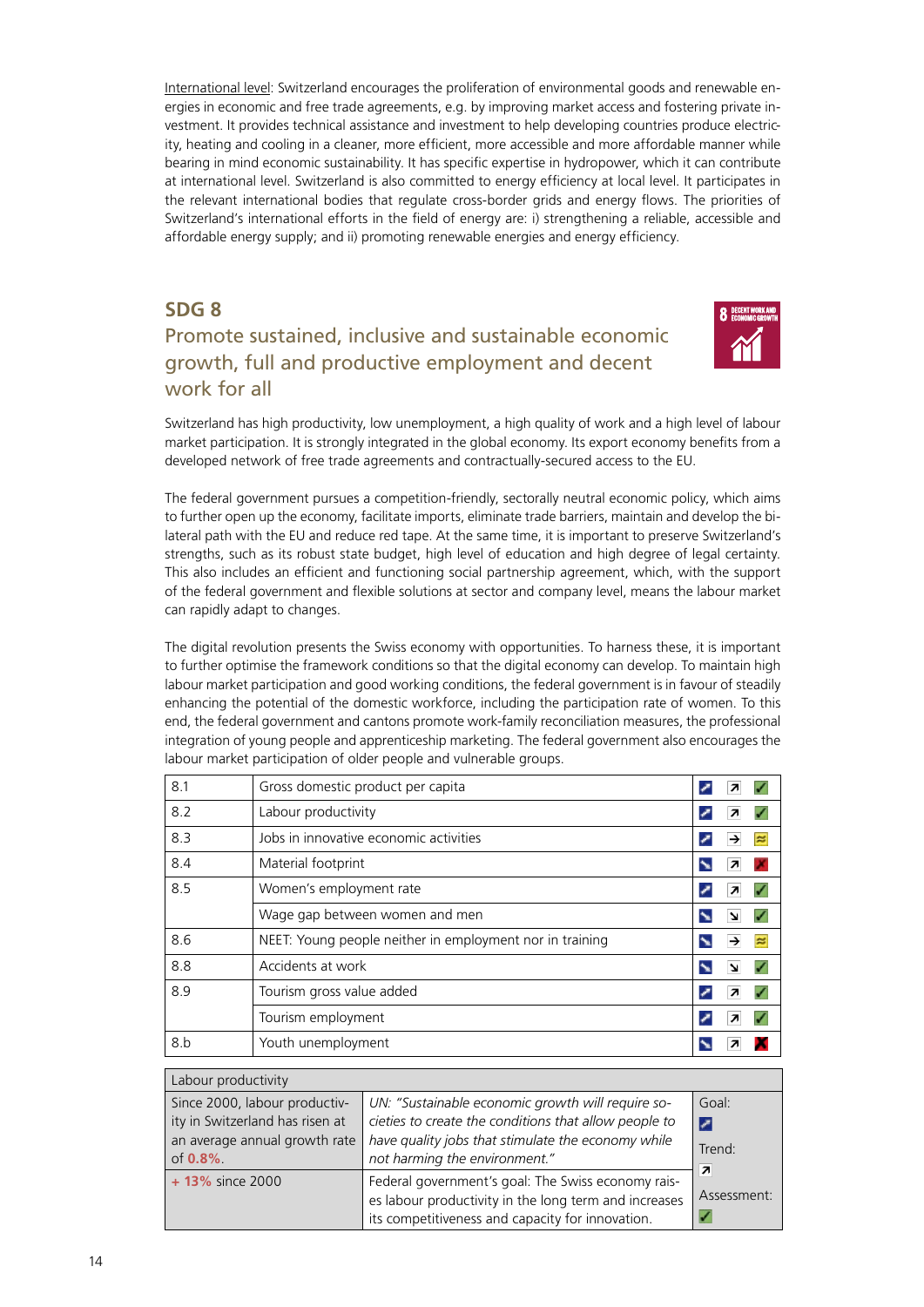<span id="page-13-0"></span>International level: Switzerland encourages the proliferation of environmental goods and renewable energies in economic and free trade agreements, e.g. by improving market access and fostering private investment. It provides technical assistance and investment to help developing countries produce electricity, heating and cooling in a cleaner, more efficient, more accessible and more affordable manner while bearing in mind economic sustainability. It has specific expertise in hydropower, which it can contribute at international level. Switzerland is also committed to energy efficiency at local level. It participates in the relevant international bodies that regulate cross-border grids and energy flows. The priorities of Switzerland's international efforts in the field of energy are: i) strengthening a reliable, accessible and affordable energy supply; and ii) promoting renewable energies and energy efficiency.

#### **SDG 8**

#### Promote sustained, inclusive and sustainable economic growth, full and productive employment and decent work for all



Switzerland has high productivity, low unemployment, a high quality of work and a high level of labour market participation. It is strongly integrated in the global economy. Its export economy benefits from a developed network of free trade agreements and contractually-secured access to the EU.

The federal government pursues a competition-friendly, sectorally neutral economic policy, which aims to further open up the economy, facilitate imports, eliminate trade barriers, maintain and develop the bilateral path with the EU and reduce red tape. At the same time, it is important to preserve Switzerland's strengths, such as its robust state budget, high level of education and high degree of legal certainty. This also includes an efficient and functioning social partnership agreement, which, with the support of the federal government and flexible solutions at sector and company level, means the labour market can rapidly adapt to changes.

The digital revolution presents the Swiss economy with opportunities. To harness these, it is important to further optimise the framework conditions so that the digital economy can develop. To maintain high labour market participation and good working conditions, the federal government is in favour of steadily enhancing the potential of the domestic workforce, including the participation rate of women. To this end, the federal government and cantons promote work-family reconciliation measures, the professional integration of young people and apprenticeship marketing. The federal government also encourages the labour market participation of older people and vulnerable groups.

| 8.1 | Gross domestic product per capita                        |        |
|-----|----------------------------------------------------------|--------|
| 8.2 | Labour productivity                                      | 7      |
| 8.3 | Jobs in innovative economic activities                   | ×      |
| 8.4 | Material footprint                                       |        |
| 8.5 | Women's employment rate                                  | 7      |
|     | Wage gap between women and men                           | צ      |
| 8.6 | NEET: Young people neither in employment nor in training | →<br>e |
| 8.8 | Accidents at work                                        |        |
| 8.9 | Tourism gross value added                                | 7      |
|     | Tourism employment                                       |        |
| 8.b | Youth unemployment                                       |        |

| Labour productivity                                                                                             |                                                                                                                                                                                                   |                                                  |
|-----------------------------------------------------------------------------------------------------------------|---------------------------------------------------------------------------------------------------------------------------------------------------------------------------------------------------|--------------------------------------------------|
| Since 2000, labour productiv-<br>ity in Switzerland has risen at<br>an average annual growth rate<br>of $0.8\%$ | UN: "Sustainable economic growth will require so-<br>cieties to create the conditions that allow people to<br>have quality jobs that stimulate the economy while<br>not harming the environment." | Goal:<br>⇂<br>Trend:<br>$\overline{\phantom{a}}$ |
| + 13% since 2000                                                                                                | Federal government's goal: The Swiss economy rais-<br>es labour productivity in the long term and increases<br>its competitiveness and capacity for innovation.                                   | Assessment:                                      |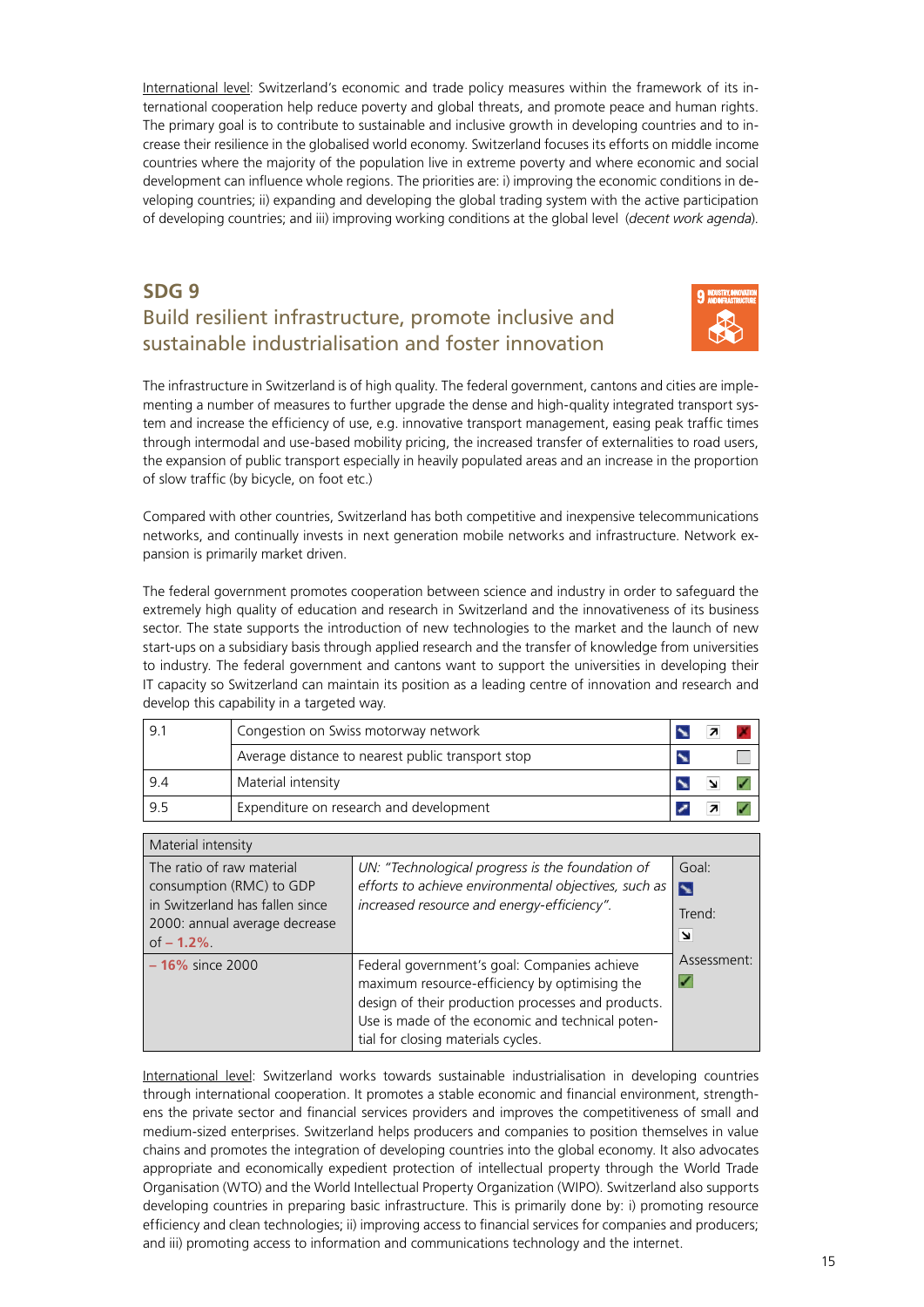<span id="page-14-0"></span>International level: Switzerland's economic and trade policy measures within the framework of its international cooperation help reduce poverty and global threats, and promote peace and human rights. The primary goal is to contribute to sustainable and inclusive growth in developing countries and to increase their resilience in the globalised world economy. Switzerland focuses its efforts on middle income countries where the majority of the population live in extreme poverty and where economic and social development can influence whole regions. The priorities are: i) improving the economic conditions in developing countries; ii) expanding and developing the global trading system with the active participation of developing countries; and iii) improving working conditions at the global level (*decent work agenda*).

#### **SDG 9** Build resilient infrastructure, promote inclusive and sustainable industrialisation and foster innovation



The infrastructure in Switzerland is of high quality. The federal government, cantons and cities are implementing a number of measures to further upgrade the dense and high-quality integrated transport system and increase the efficiency of use, e.g. innovative transport management, easing peak traffic times through intermodal and use-based mobility pricing, the increased transfer of externalities to road users, the expansion of public transport especially in heavily populated areas and an increase in the proportion of slow traffic (by bicycle, on foot etc.)

Compared with other countries, Switzerland has both competitive and inexpensive telecommunications networks, and continually invests in next generation mobile networks and infrastructure. Network expansion is primarily market driven.

The federal government promotes cooperation between science and industry in order to safeguard the extremely high quality of education and research in Switzerland and the innovativeness of its business sector. The state supports the introduction of new technologies to the market and the launch of new start-ups on a subsidiary basis through applied research and the transfer of knowledge from universities to industry. The federal government and cantons want to support the universities in developing their IT capacity so Switzerland can maintain its position as a leading centre of innovation and research and develop this capability in a targeted way.

| 9.1 | Congestion on Swiss motorway network              |  |  |
|-----|---------------------------------------------------|--|--|
|     | Average distance to nearest public transport stop |  |  |
| 9.4 | Material intensity                                |  |  |
| 9.5 | Expenditure on research and development           |  |  |

| Material intensity                                                                                                                       |                                                                                                                                                                                                                                               |                                               |
|------------------------------------------------------------------------------------------------------------------------------------------|-----------------------------------------------------------------------------------------------------------------------------------------------------------------------------------------------------------------------------------------------|-----------------------------------------------|
| The ratio of raw material<br>consumption (RMC) to GDP<br>in Switzerland has fallen since<br>2000: annual average decrease<br>of $-1.2\%$ | UN: "Technological progress is the foundation of<br>efforts to achieve environmental objectives, such as<br>increased resource and energy-efficiency".                                                                                        | Goal:<br>$\blacktriangleright$<br>Trend:<br>⊻ |
| $-16\%$ since 2000                                                                                                                       | Federal government's goal: Companies achieve<br>maximum resource-efficiency by optimising the<br>design of their production processes and products.<br>Use is made of the economic and technical poten-<br>tial for closing materials cycles. | Assessment:<br>V                              |

International level: Switzerland works towards sustainable industrialisation in developing countries through international cooperation. It promotes a stable economic and financial environment, strengthens the private sector and financial services providers and improves the competitiveness of small and medium-sized enterprises. Switzerland helps producers and companies to position themselves in value chains and promotes the integration of developing countries into the global economy. It also advocates appropriate and economically expedient protection of intellectual property through the World Trade Organisation (WTO) and the World Intellectual Property Organization (WIPO). Switzerland also supports developing countries in preparing basic infrastructure. This is primarily done by: i) promoting resource efficiency and clean technologies; ii) improving access to financial services for companies and producers; and iii) promoting access to information and communications technology and the internet.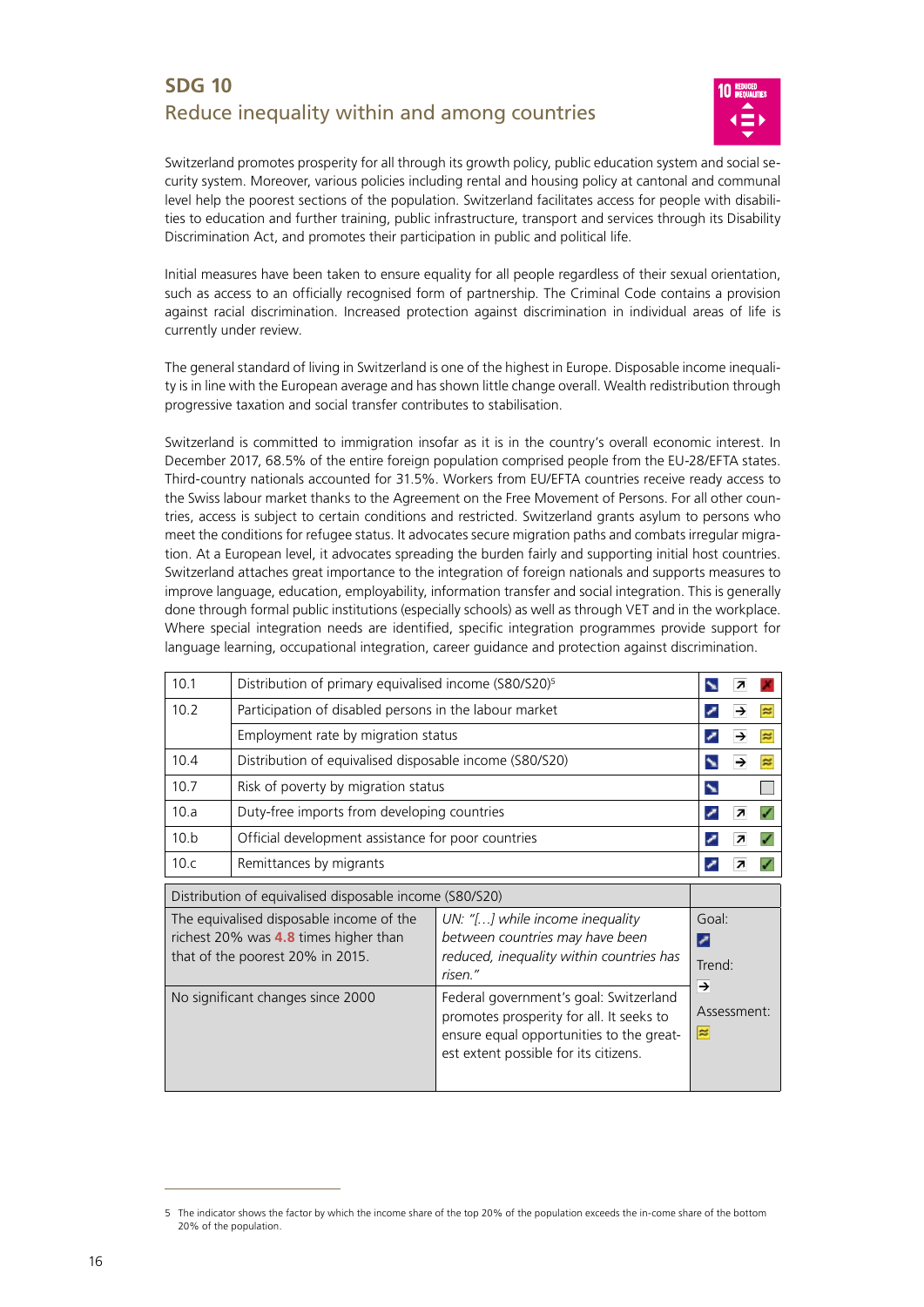#### <span id="page-15-0"></span>**SDG 10** Reduce inequality within and among countries



Switzerland promotes prosperity for all through its growth policy, public education system and social security system. Moreover, various policies including rental and housing policy at cantonal and communal level help the poorest sections of the population. Switzerland facilitates access for people with disabilities to education and further training, public infrastructure, transport and services through its Disability Discrimination Act, and promotes their participation in public and political life.

Initial measures have been taken to ensure equality for all people regardless of their sexual orientation, such as access to an officially recognised form of partnership. The Criminal Code contains a provision against racial discrimination. Increased protection against discrimination in individual areas of life is currently under review.

The general standard of living in Switzerland is one of the highest in Europe. Disposable income inequality is in line with the European average and has shown little change overall. Wealth redistribution through progressive taxation and social transfer contributes to stabilisation.

Switzerland is committed to immigration insofar as it is in the country's overall economic interest. In December 2017, 68.5% of the entire foreign population comprised people from the EU-28/EFTA states. Third-country nationals accounted for 31.5%. Workers from EU/EFTA countries receive ready access to the Swiss labour market thanks to the Agreement on the Free Movement of Persons. For all other countries, access is subject to certain conditions and restricted. Switzerland grants asylum to persons who meet the conditions for refugee status. It advocates secure migration paths and combats irregular migration. At a European level, it advocates spreading the burden fairly and supporting initial host countries. Switzerland attaches great importance to the integration of foreign nationals and supports measures to improve language, education, employability, information transfer and social integration. This is generally done through formal public institutions (especially schools) as well as through VET and in the workplace. Where special integration needs are identified, specific integration programmes provide support for language learning, occupational integration, career guidance and protection against discrimination.

| 10.1                                                    | Distribution of primary equivalised income (S80/S20) <sup>5</sup>                                                                                                 |                                                                                                                                                                     |                           |   |   |
|---------------------------------------------------------|-------------------------------------------------------------------------------------------------------------------------------------------------------------------|---------------------------------------------------------------------------------------------------------------------------------------------------------------------|---------------------------|---|---|
| 10.2                                                    | Participation of disabled persons in the labour market                                                                                                            |                                                                                                                                                                     |                           |   |   |
|                                                         | Employment rate by migration status                                                                                                                               |                                                                                                                                                                     | ╭                         | → | ≈ |
| 10.4                                                    | Distribution of equivalised disposable income (S80/S20)                                                                                                           |                                                                                                                                                                     | N                         | → |   |
| 10.7                                                    | Risk of poverty by migration status                                                                                                                               |                                                                                                                                                                     | $\blacktriangleright$     |   |   |
| 10.a                                                    | Duty-free imports from developing countries                                                                                                                       |                                                                                                                                                                     | ╭                         | 7 |   |
| 10.b                                                    | Official development assistance for poor countries                                                                                                                |                                                                                                                                                                     | ╭                         |   |   |
| 10.c                                                    | Remittances by migrants                                                                                                                                           |                                                                                                                                                                     | ╭                         |   |   |
| Distribution of equivalised disposable income (S80/S20) |                                                                                                                                                                   |                                                                                                                                                                     |                           |   |   |
|                                                         |                                                                                                                                                                   |                                                                                                                                                                     |                           |   |   |
|                                                         | The equivalised disposable income of the<br>richest 20% was <b>4.8</b> times higher than<br>that of the poorest 20% in 2015.<br>No significant changes since 2000 | UN: "[] while income inequality<br>between countries may have been<br>reduced, inequality within countries has<br>risen."<br>Federal government's goal: Switzerland | Goal:<br>╭<br>Trend:<br>→ |   |   |

<sup>5</sup> The indicator shows the factor by which the income share of the top 20% of the population exceeds the in-come share of the bottom 20% of the population.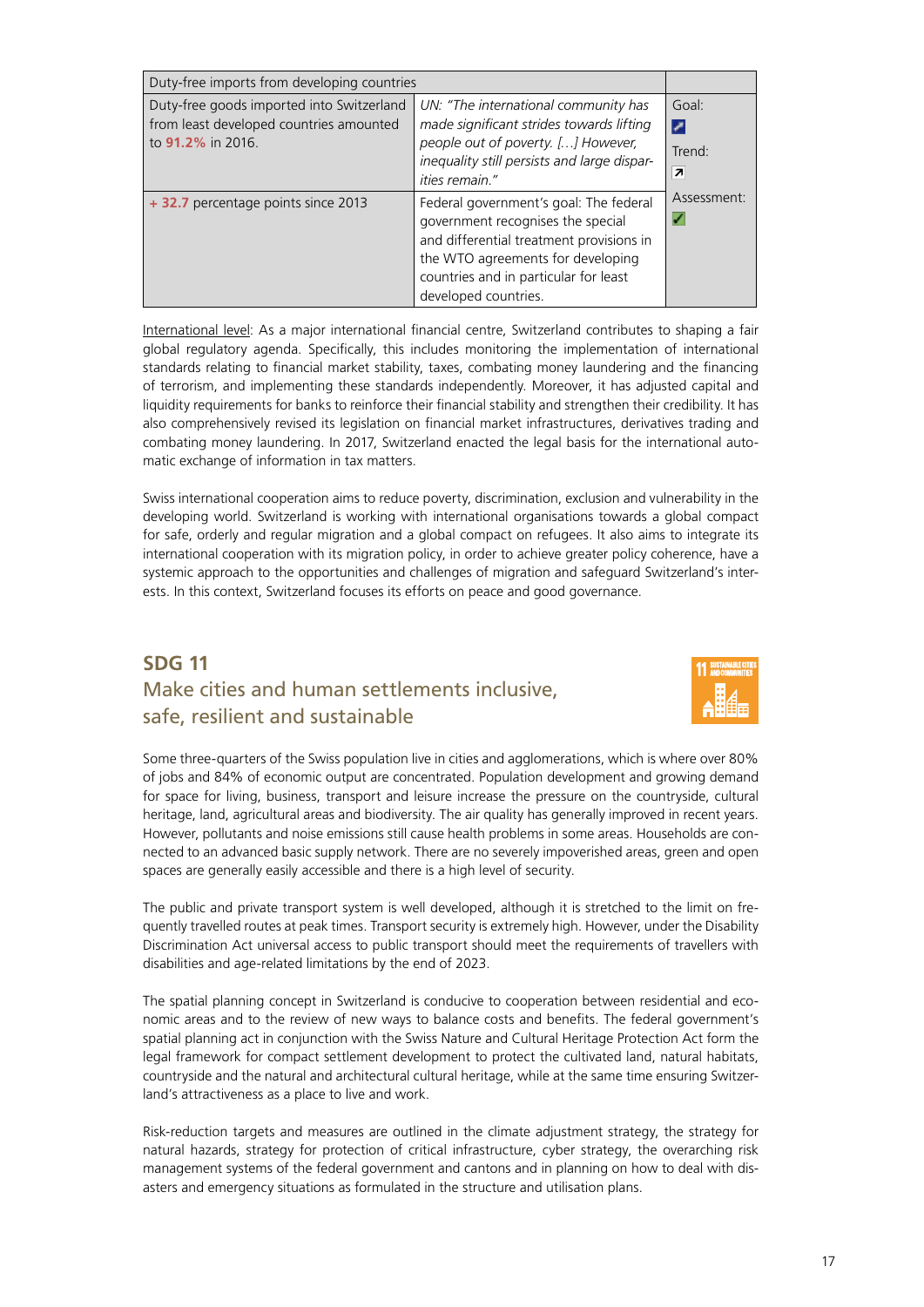<span id="page-16-0"></span>

| Duty-free imports from developing countries                                                               |                                                                                                                                                                                                                               |                                       |
|-----------------------------------------------------------------------------------------------------------|-------------------------------------------------------------------------------------------------------------------------------------------------------------------------------------------------------------------------------|---------------------------------------|
| Duty-free goods imported into Switzerland<br>from least developed countries amounted<br>to 91.2% in 2016. | UN: "The international community has<br>made significant strides towards lifting<br>people out of poverty. [] However,<br>inequality still persists and large dispar-<br><i>ities</i> remain."                                | Goal:<br>╭<br>Trend <sup>.</sup><br>7 |
| + 32.7 percentage points since 2013                                                                       | Federal government's goal: The federal<br>government recognises the special<br>and differential treatment provisions in<br>the WTO agreements for developing<br>countries and in particular for least<br>developed countries. | Assessment:                           |

International level: As a major international financial centre, Switzerland contributes to shaping a fair global regulatory agenda. Specifically, this includes monitoring the implementation of international standards relating to financial market stability, taxes, combating money laundering and the financing of terrorism, and implementing these standards independently. Moreover, it has adjusted capital and liquidity requirements for banks to reinforce their financial stability and strengthen their credibility. It has also comprehensively revised its legislation on financial market infrastructures, derivatives trading and combating money laundering. In 2017, Switzerland enacted the legal basis for the international automatic exchange of information in tax matters.

Swiss international cooperation aims to reduce poverty, discrimination, exclusion and vulnerability in the developing world. Switzerland is working with international organisations towards a global compact for safe, orderly and regular migration and a global compact on refugees. It also aims to integrate its international cooperation with its migration policy, in order to achieve greater policy coherence, have a systemic approach to the opportunities and challenges of migration and safeguard Switzerland's interests. In this context, Switzerland focuses its efforts on peace and good governance.

#### **SDG 11** Make cities and human settlements inclusive, safe, resilient and sustainable



Some three-quarters of the Swiss population live in cities and agglomerations, which is where over 80% of jobs and 84% of economic output are concentrated. Population development and growing demand for space for living, business, transport and leisure increase the pressure on the countryside, cultural heritage, land, agricultural areas and biodiversity. The air quality has generally improved in recent years. However, pollutants and noise emissions still cause health problems in some areas. Households are connected to an advanced basic supply network. There are no severely impoverished areas, green and open spaces are generally easily accessible and there is a high level of security.

The public and private transport system is well developed, although it is stretched to the limit on frequently travelled routes at peak times. Transport security is extremely high. However, under the Disability Discrimination Act universal access to public transport should meet the requirements of travellers with disabilities and age-related limitations by the end of 2023.

The spatial planning concept in Switzerland is conducive to cooperation between residential and economic areas and to the review of new ways to balance costs and benefits. The federal government's spatial planning act in conjunction with the Swiss Nature and Cultural Heritage Protection Act form the legal framework for compact settlement development to protect the cultivated land, natural habitats, countryside and the natural and architectural cultural heritage, while at the same time ensuring Switzerland's attractiveness as a place to live and work.

Risk-reduction targets and measures are outlined in the climate adjustment strategy, the strategy for natural hazards, strategy for protection of critical infrastructure, cyber strategy, the overarching risk management systems of the federal government and cantons and in planning on how to deal with disasters and emergency situations as formulated in the structure and utilisation plans.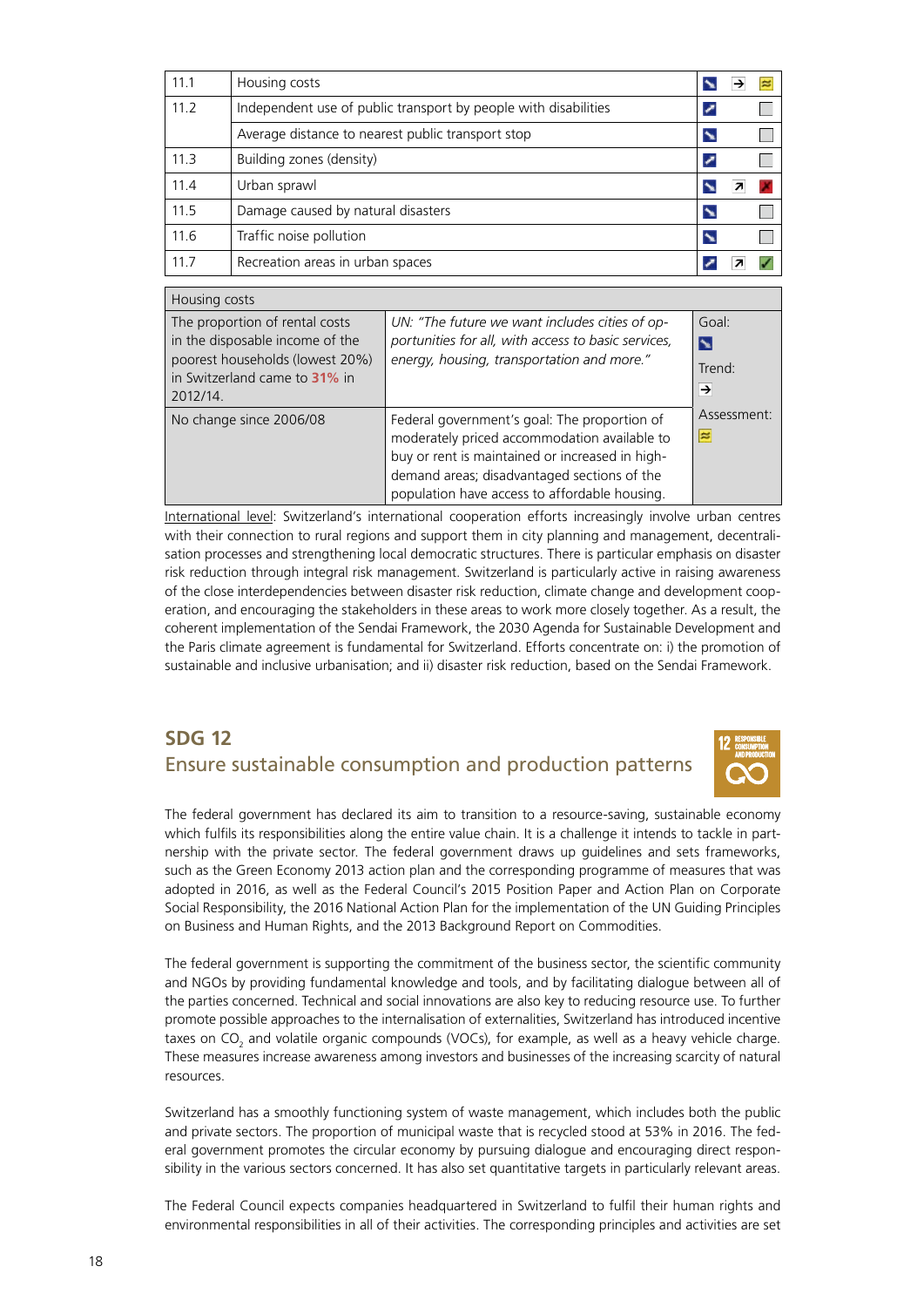<span id="page-17-0"></span>

| 11.1 | Housing costs                                                   |  |  |
|------|-----------------------------------------------------------------|--|--|
| 11.2 | Independent use of public transport by people with disabilities |  |  |
|      | Average distance to nearest public transport stop               |  |  |
| 11.3 | Building zones (density)                                        |  |  |
| 11.4 | Urban sprawl                                                    |  |  |
| 11.5 | Damage caused by natural disasters                              |  |  |
| 11.6 | Traffic noise pollution                                         |  |  |
| 11.7 | Recreation areas in urban spaces                                |  |  |

| Housing costs                                                                                                                                     |                                                                                                                                                                                                                                                 |                           |
|---------------------------------------------------------------------------------------------------------------------------------------------------|-------------------------------------------------------------------------------------------------------------------------------------------------------------------------------------------------------------------------------------------------|---------------------------|
| The proportion of rental costs<br>in the disposable income of the<br>poorest households (lowest 20%)<br>in Switzerland came to 31% in<br>2012/14. | UN: "The future we want includes cities of op-<br>portunities for all, with access to basic services,<br>energy, housing, transportation and more."                                                                                             | Goal:<br>N<br>Trend:<br>→ |
| No change since 2006/08                                                                                                                           | Federal government's goal: The proportion of<br>moderately priced accommodation available to<br>buy or rent is maintained or increased in high-<br>demand areas; disadvantaged sections of the<br>population have access to affordable housing. | Assessment:<br>$\approx$  |

International level: Switzerland's international cooperation efforts increasingly involve urban centres with their connection to rural regions and support them in city planning and management, decentralisation processes and strengthening local democratic structures. There is particular emphasis on disaster risk reduction through integral risk management. Switzerland is particularly active in raising awareness of the close interdependencies between disaster risk reduction, climate change and development cooperation, and encouraging the stakeholders in these areas to work more closely together. As a result, the coherent implementation of the Sendai Framework, the 2030 Agenda for Sustainable Development and the Paris climate agreement is fundamental for Switzerland. Efforts concentrate on: i) the promotion of sustainable and inclusive urbanisation; and ii) disaster risk reduction, based on the Sendai Framework.

#### **SDG 12** Ensure sustainable consumption and production patterns



The federal government has declared its aim to transition to a resource-saving, sustainable economy which fulfils its responsibilities along the entire value chain. It is a challenge it intends to tackle in partnership with the private sector. The federal government draws up guidelines and sets frameworks, such as the Green Economy 2013 action plan and the corresponding programme of measures that was adopted in 2016, as well as the Federal Council's 2015 Position Paper and Action Plan on Corporate Social Responsibility, the 2016 National Action Plan for the implementation of the UN Guiding Principles on Business and Human Rights, and the 2013 Background Report on Commodities.

The federal government is supporting the commitment of the business sector, the scientific community and NGOs by providing fundamental knowledge and tools, and by facilitating dialogue between all of the parties concerned. Technical and social innovations are also key to reducing resource use. To further promote possible approaches to the internalisation of externalities, Switzerland has introduced incentive taxes on CO<sub>2</sub> and volatile organic compounds (VOCs), for example, as well as a heavy vehicle charge. These measures increase awareness among investors and businesses of the increasing scarcity of natural resources.

Switzerland has a smoothly functioning system of waste management, which includes both the public and private sectors. The proportion of municipal waste that is recycled stood at 53% in 2016. The federal government promotes the circular economy by pursuing dialogue and encouraging direct responsibility in the various sectors concerned. It has also set quantitative targets in particularly relevant areas.

The Federal Council expects companies headquartered in Switzerland to fulfil their human rights and environmental responsibilities in all of their activities. The corresponding principles and activities are set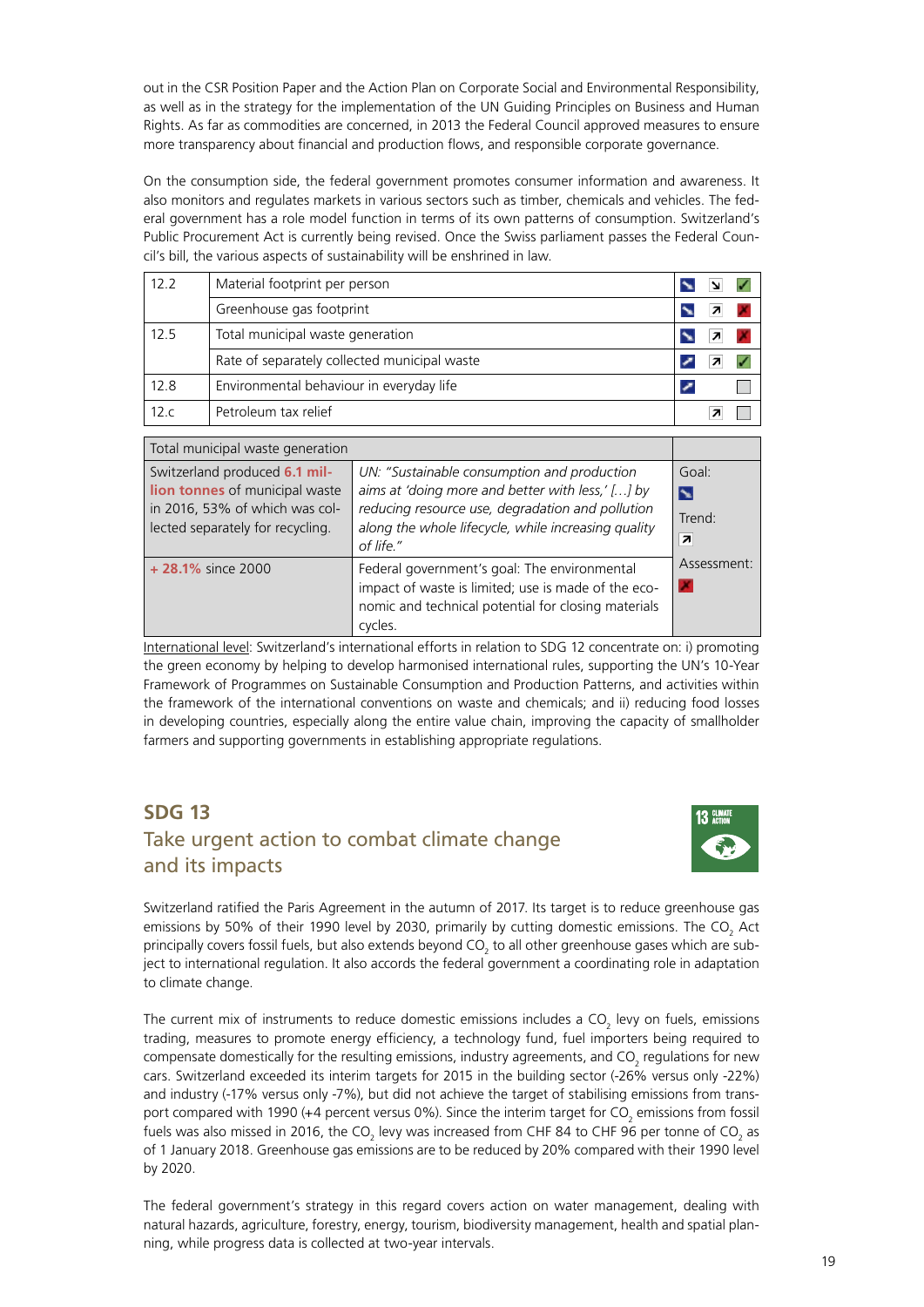<span id="page-18-0"></span>out in the CSR Position Paper and the Action Plan on Corporate Social and Environmental Responsibility, as well as in the strategy for the implementation of the UN Guiding Principles on Business and Human Rights. As far as commodities are concerned, in 2013 the Federal Council approved measures to ensure more transparency about financial and production flows, and responsible corporate governance.

On the consumption side, the federal government promotes consumer information and awareness. It also monitors and regulates markets in various sectors such as timber, chemicals and vehicles. The federal government has a role model function in terms of its own patterns of consumption. Switzerland's Public Procurement Act is currently being revised. Once the Swiss parliament passes the Federal Council's bill, the various aspects of sustainability will be enshrined in law.

| 12.2 | Material footprint per person                |  |  |
|------|----------------------------------------------|--|--|
|      | Greenhouse gas footprint                     |  |  |
| 12.5 | Total municipal waste generation             |  |  |
|      | Rate of separately collected municipal waste |  |  |
| 12.8 | Environmental behaviour in everyday life     |  |  |
| 12.c | Petroleum tax relief                         |  |  |

| Total municipal waste generation                                                                                                      |                                                                                                                                                                                                                         |                                                |
|---------------------------------------------------------------------------------------------------------------------------------------|-------------------------------------------------------------------------------------------------------------------------------------------------------------------------------------------------------------------------|------------------------------------------------|
| Switzerland produced 6.1 mil-<br>lion tonnes of municipal waste<br>in 2016, 53% of which was col-<br>lected separately for recycling. | UN: "Sustainable consumption and production<br>aims at 'doing more and better with less,' [] by<br>reducing resource use, degradation and pollution<br>along the whole lifecycle, while increasing quality<br>of life." | Goal:<br>$\blacktriangleright$<br>Trend:<br> z |
| $+28.1\%$ since 2000                                                                                                                  | Federal government's goal: The environmental<br>impact of waste is limited; use is made of the eco-<br>nomic and technical potential for closing materials<br>cycles.                                                   | Assessment:<br>×                               |

International level: Switzerland's international efforts in relation to SDG 12 concentrate on: i) promoting the green economy by helping to develop harmonised international rules, supporting the UN's 10-Year Framework of Programmes on Sustainable Consumption and Production Patterns, and activities within the framework of the international conventions on waste and chemicals; and ii) reducing food losses in developing countries, especially along the entire value chain, improving the capacity of smallholder farmers and supporting governments in establishing appropriate regulations.

#### **SDG 13** Take urgent action to combat climate change and its impacts



Switzerland ratified the Paris Agreement in the autumn of 2017. Its target is to reduce greenhouse gas emissions by 50% of their 1990 level by 2030, primarily by cutting domestic emissions. The CO<sub>2</sub> Act principally covers fossil fuels, but also extends beyond CO $_{_2}$  to all other greenhouse gases which are subject to international regulation. It also accords the federal government a coordinating role in adaptation to climate change.

The current mix of instruments to reduce domestic emissions includes a CO<sub>2</sub> levy on fuels, emissions trading, measures to promote energy efficiency, a technology fund, fuel importers being required to compensate domestically for the resulting emissions, industry agreements, and CO<sub>2</sub> regulations for new cars. Switzerland exceeded its interim targets for 2015 in the building sector (-26% versus only -22%) and industry (-17% versus only -7%), but did not achieve the target of stabilising emissions from transport compared with 1990 (+4 percent versus 0%). Since the interim target for CO<sub>2</sub> emissions from fossil fuels was also missed in 2016, the CO<sub>2</sub> levy was increased from CHF 84 to CHF 96 per tonne of CO<sub>2</sub> as of 1 January 2018. Greenhouse gas emissions are to be reduced by 20% compared with their 1990 level by 2020.

The federal government's strategy in this regard covers action on water management, dealing with natural hazards, agriculture, forestry, energy, tourism, biodiversity management, health and spatial planning, while progress data is collected at two-year intervals.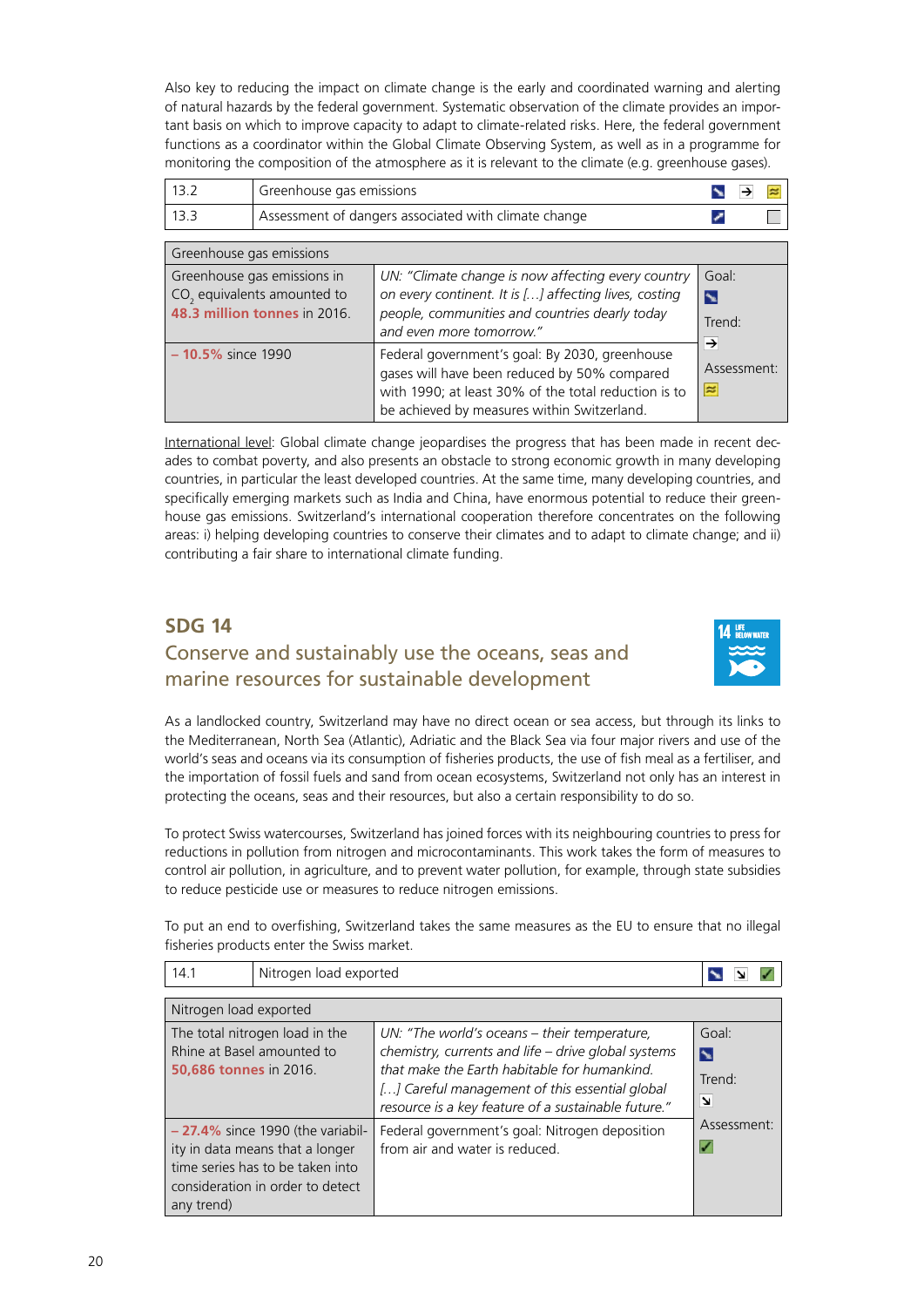<span id="page-19-0"></span>Also key to reducing the impact on climate change is the early and coordinated warning and alerting of natural hazards by the federal government. Systematic observation of the climate provides an important basis on which to improve capacity to adapt to climate-related risks. Here, the federal government functions as a coordinator within the Global Climate Observing System, as well as in a programme for monitoring the composition of the atmosphere as it is relevant to the climate (e.g. greenhouse gases).

| 13.2                                                                                                                                                                                                                                                                                               | Greenhouse gas emissions |                                                                                                                                                                                                       |                           |  |  |
|----------------------------------------------------------------------------------------------------------------------------------------------------------------------------------------------------------------------------------------------------------------------------------------------------|--------------------------|-------------------------------------------------------------------------------------------------------------------------------------------------------------------------------------------------------|---------------------------|--|--|
| 133                                                                                                                                                                                                                                                                                                |                          | Assessment of dangers associated with climate change                                                                                                                                                  |                           |  |  |
| Greenhouse gas emissions                                                                                                                                                                                                                                                                           |                          |                                                                                                                                                                                                       |                           |  |  |
| Greenhouse gas emissions in<br>UN: "Climate change is now affecting every country<br>CO <sub>2</sub> equivalents amounted to<br>on every continent. It is [] affecting lives, costing<br>48.3 million tonnes in 2016<br>people, communities and countries dearly today<br>and even more tomorrow." |                          |                                                                                                                                                                                                       | Goal:<br>N<br>Trend:<br>→ |  |  |
| $-10.5\%$ since 1990                                                                                                                                                                                                                                                                               |                          | Federal government's goal: By 2030, greenhouse<br>gases will have been reduced by 50% compared<br>with 1990; at least 30% of the total reduction is to<br>be achieved by measures within Switzerland. | Assessment:<br>$\approx$  |  |  |

International level: Global climate change jeopardises the progress that has been made in recent decades to combat poverty, and also presents an obstacle to strong economic growth in many developing countries, in particular the least developed countries. At the same time, many developing countries, and specifically emerging markets such as India and China, have enormous potential to reduce their greenhouse gas emissions. Switzerland's international cooperation therefore concentrates on the following areas: i) helping developing countries to conserve their climates and to adapt to climate change; and ii) contributing a fair share to international climate funding.

#### **SDG 14**

#### Conserve and sustainably use the oceans, seas and marine resources for sustainable development



As a landlocked country, Switzerland may have no direct ocean or sea access, but through its links to the Mediterranean, North Sea (Atlantic), Adriatic and the Black Sea via four major rivers and use of the world's seas and oceans via its consumption of fisheries products, the use of fish meal as a fertiliser, and the importation of fossil fuels and sand from ocean ecosystems, Switzerland not only has an interest in protecting the oceans, seas and their resources, but also a certain responsibility to do so.

To protect Swiss watercourses, Switzerland has joined forces with its neighbouring countries to press for reductions in pollution from nitrogen and microcontaminants. This work takes the form of measures to control air pollution, in agriculture, and to prevent water pollution, for example, through state subsidies to reduce pesticide use or measures to reduce nitrogen emissions.

To put an end to overfishing, Switzerland takes the same measures as the EU to ensure that no illegal fisheries products enter the Swiss market.

| Nitrogen load exported<br>14.1                                                                                                                               |                                                                                                                                                                                                                                                              |                          |  |  |  |
|--------------------------------------------------------------------------------------------------------------------------------------------------------------|--------------------------------------------------------------------------------------------------------------------------------------------------------------------------------------------------------------------------------------------------------------|--------------------------|--|--|--|
| Nitrogen load exported                                                                                                                                       |                                                                                                                                                                                                                                                              |                          |  |  |  |
| The total nitrogen load in the<br>Rhine at Basel amounted to<br><b>50,686 tonnes in 2016.</b>                                                                | UN: "The world's oceans – their temperature,<br>chemistry, currents and life - drive global systems<br>that make the Earth habitable for humankind.<br>[] Careful management of this essential global<br>resource is a key feature of a sustainable future." | Goal<br>N<br>Trend:<br>N |  |  |  |
| $-27.4\%$ since 1990 (the variabil-<br>ity in data means that a longer<br>time series has to be taken into<br>consideration in order to detect<br>any trend) | Federal government's goal: Nitrogen deposition<br>from air and water is reduced.                                                                                                                                                                             | Assessment:<br>✓         |  |  |  |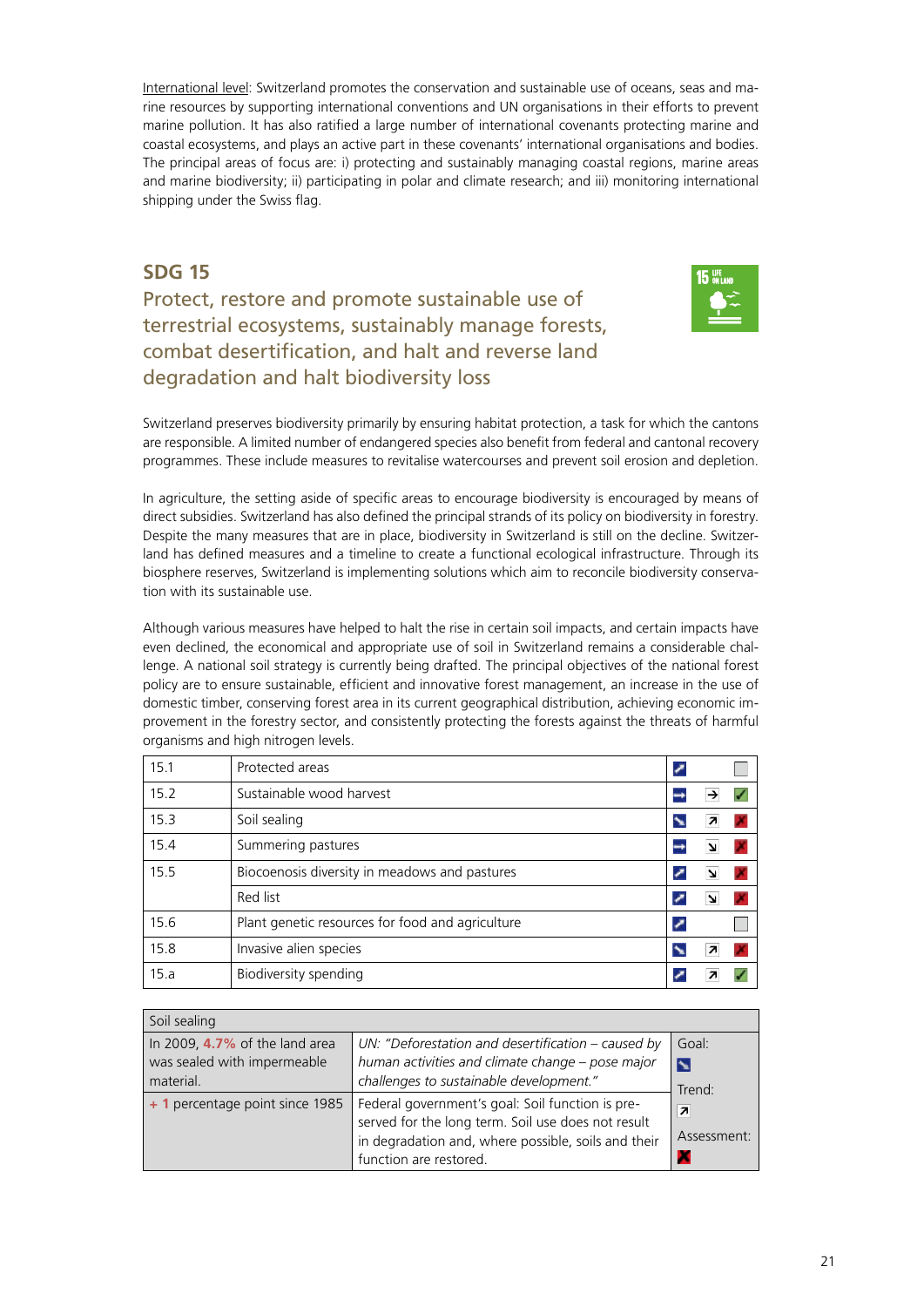<span id="page-20-0"></span>International level: Switzerland promotes the conservation and sustainable use of oceans, seas and marine resources by supporting international conventions and UN organisations in their efforts to prevent marine pollution. It has also ratified a large number of international covenants protecting marine and coastal ecosystems, and plays an active part in these covenants' international organisations and bodies. The principal areas of focus are: i) protecting and sustainably managing coastal regions, marine areas and marine biodiversity; ii) participating in polar and climate research; and iii) monitoring international shipping under the Swiss flag.

#### **SDG 15**

Protect, restore and promote sustainable use of terrestrial ecosystems, sustainably manage forests, combat desertification, and halt and reverse land degradation and halt biodiversity loss



Switzerland preserves biodiversity primarily by ensuring habitat protection, a task for which the cantons are responsible. A limited number of endangered species also benefit from federal and cantonal recovery programmes. These include measures to revitalise watercourses and prevent soil erosion and depletion.

In agriculture, the setting aside of specific areas to encourage biodiversity is encouraged by means of direct subsidies. Switzerland has also defined the principal strands of its policy on biodiversity in forestry. Despite the many measures that are in place, biodiversity in Switzerland is still on the decline. Switzerland has defined measures and a timeline to create a functional ecological infrastructure. Through its biosphere reserves, Switzerland is implementing solutions which aim to reconcile biodiversity conservation with its sustainable use.

Although various measures have helped to halt the rise in certain soil impacts, and certain impacts have even declined, the economical and appropriate use of soil in Switzerland remains a considerable challenge. A national soil strategy is currently being drafted. The principal objectives of the national forest policy are to ensure sustainable, efficient and innovative forest management, an increase in the use of domestic timber, conserving forest area in its current geographical distribution, achieving economic improvement in the forestry sector, and consistently protecting the forests against the threats of harmful organisms and high nitrogen levels.

| 15.1 | Protected areas                                  |  |  |
|------|--------------------------------------------------|--|--|
| 15.2 | Sustainable wood harvest                         |  |  |
| 15.3 | Soil sealing                                     |  |  |
| 15.4 | Summering pastures                               |  |  |
| 15.5 | Biocoenosis diversity in meadows and pastures    |  |  |
|      | Red list                                         |  |  |
| 15.6 | Plant genetic resources for food and agriculture |  |  |
| 15.8 | Invasive alien species                           |  |  |
| 15.a | Biodiversity spending                            |  |  |

| Soil sealing                                                                  |                                                                                                                                                                                         |                                                        |  |  |
|-------------------------------------------------------------------------------|-----------------------------------------------------------------------------------------------------------------------------------------------------------------------------------------|--------------------------------------------------------|--|--|
| In 2009, $4.7\%$ of the land area<br>was sealed with impermeable<br>material. | UN: "Deforestation and desertification - caused by<br>human activities and climate change - pose major<br>challenges to sustainable development."                                       | Goal:<br>N                                             |  |  |
| + 1 percentage point since 1985                                               | Federal government's goal: Soil function is pre-<br>served for the long term. Soil use does not result<br>in degradation and, where possible, soils and their<br>function are restored. | Trend:<br>$\overline{\phantom{a}}$<br>Assessment:<br>л |  |  |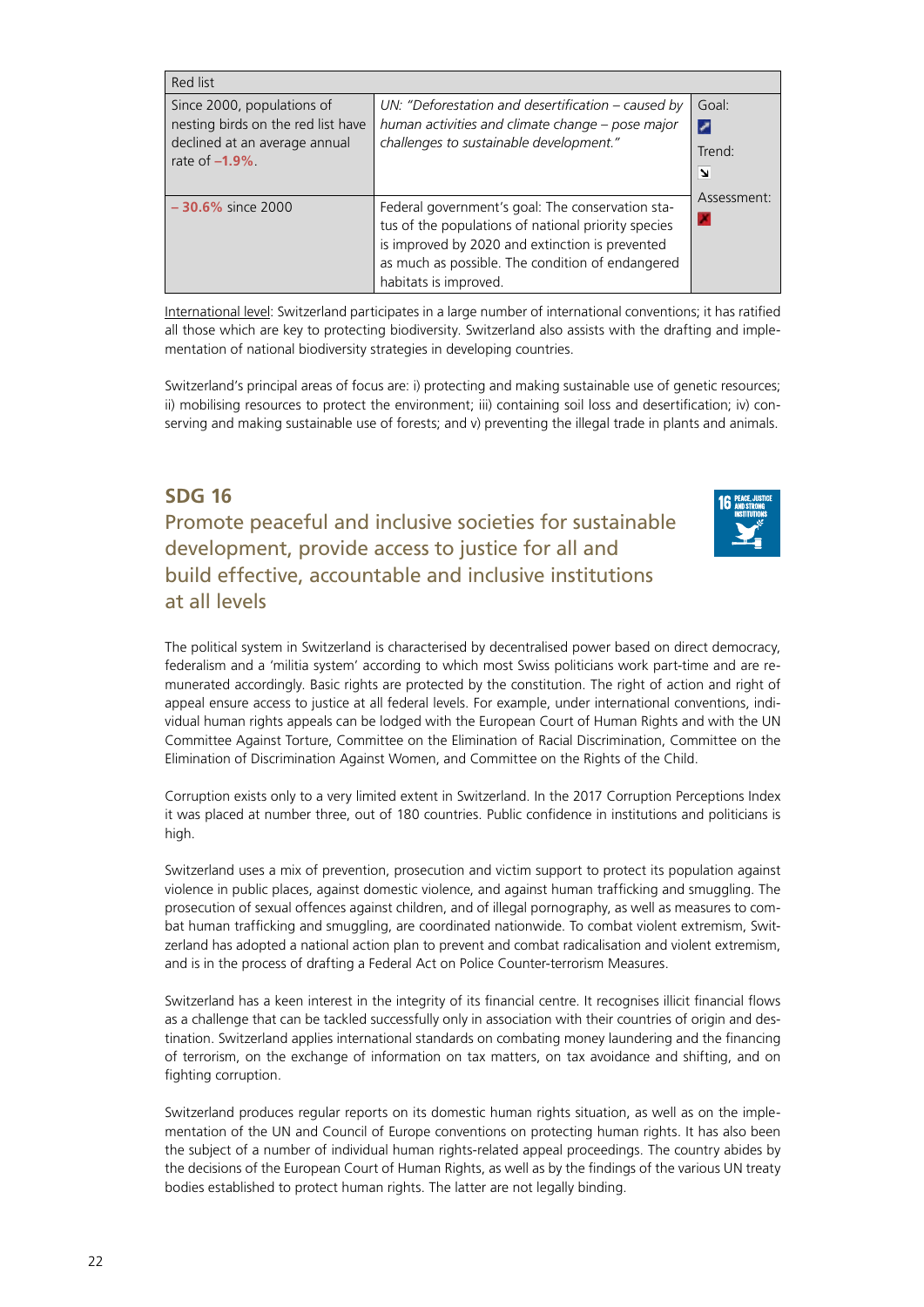<span id="page-21-0"></span>

| Red list                                                                                                              |                                                                                                                                                                                                                                         |                           |
|-----------------------------------------------------------------------------------------------------------------------|-----------------------------------------------------------------------------------------------------------------------------------------------------------------------------------------------------------------------------------------|---------------------------|
| Since 2000, populations of<br>nesting birds on the red list have<br>declined at an average annual<br>rate of $-1.9\%$ | UN: "Deforestation and desertification – caused by<br>human activities and climate change - pose major<br>challenges to sustainable development."                                                                                       | Goal:<br>V<br>Trend:<br>N |
| $-30.6\%$ since 2000                                                                                                  | Federal government's goal: The conservation sta-<br>tus of the populations of national priority species<br>is improved by 2020 and extinction is prevented<br>as much as possible. The condition of endangered<br>habitats is improved. | Assessment:               |

International level: Switzerland participates in a large number of international conventions; it has ratified all those which are key to protecting biodiversity. Switzerland also assists with the drafting and implementation of national biodiversity strategies in developing countries.

Switzerland's principal areas of focus are: i) protecting and making sustainable use of genetic resources; ii) mobilising resources to protect the environment; iii) containing soil loss and desertification; iv) conserving and making sustainable use of forests; and v) preventing the illegal trade in plants and animals.

#### **SDG 16**

Promote peaceful and inclusive societies for sustainable development, provide access to justice for all and build effective, accountable and inclusive institutions at all levels



The political system in Switzerland is characterised by decentralised power based on direct democracy, federalism and a 'militia system' according to which most Swiss politicians work part-time and are remunerated accordingly. Basic rights are protected by the constitution. The right of action and right of appeal ensure access to justice at all federal levels. For example, under international conventions, individual human rights appeals can be lodged with the European Court of Human Rights and with the UN Committee Against Torture, Committee on the Elimination of Racial Discrimination, Committee on the Elimination of Discrimination Against Women, and Committee on the Rights of the Child.

Corruption exists only to a very limited extent in Switzerland. In the 2017 Corruption Perceptions Index it was placed at number three, out of 180 countries. Public confidence in institutions and politicians is high.

Switzerland uses a mix of prevention, prosecution and victim support to protect its population against violence in public places, against domestic violence, and against human trafficking and smuggling. The prosecution of sexual offences against children, and of illegal pornography, as well as measures to combat human trafficking and smuggling, are coordinated nationwide. To combat violent extremism, Switzerland has adopted a national action plan to prevent and combat radicalisation and violent extremism, and is in the process of drafting a Federal Act on Police Counter-terrorism Measures.

Switzerland has a keen interest in the integrity of its financial centre. It recognises illicit financial flows as a challenge that can be tackled successfully only in association with their countries of origin and destination. Switzerland applies international standards on combating money laundering and the financing of terrorism, on the exchange of information on tax matters, on tax avoidance and shifting, and on fighting corruption.

Switzerland produces regular reports on its domestic human rights situation, as well as on the implementation of the UN and Council of Europe conventions on protecting human rights. It has also been the subject of a number of individual human rights-related appeal proceedings. The country abides by the decisions of the European Court of Human Rights, as well as by the findings of the various UN treaty bodies established to protect human rights. The latter are not legally binding.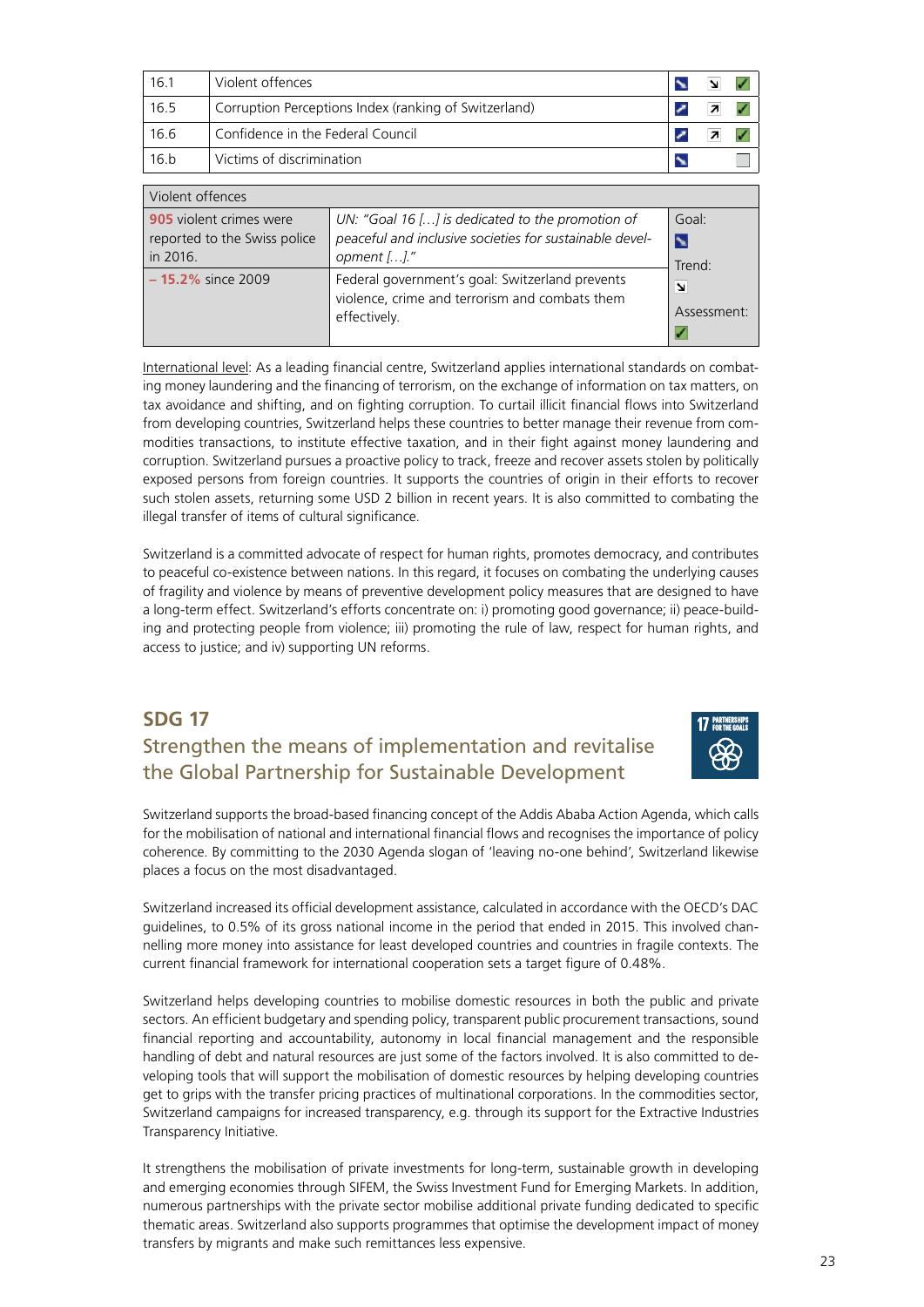<span id="page-22-0"></span>

| 16.1 | Violent offences                                      |  |  |
|------|-------------------------------------------------------|--|--|
| 16.5 | Corruption Perceptions Index (ranking of Switzerland) |  |  |
| 16.6 | Confidence in the Federal Council                     |  |  |
| 16.b | Victims of discrimination                             |  |  |

| Violent offences                                                    |                                                                                                                            |                                          |  |  |
|---------------------------------------------------------------------|----------------------------------------------------------------------------------------------------------------------------|------------------------------------------|--|--|
| 905 violent crimes were<br>reported to the Swiss police<br>in 2016. | UN: "Goal 16 [] is dedicated to the promotion of<br>peaceful and inclusive societies for sustainable devel-<br>opment []." | Goal:<br>$\blacktriangleright$<br>Trend: |  |  |
| $-15.2\%$ since 2009                                                | Federal government's goal: Switzerland prevents<br>violence, crime and terrorism and combats them<br>effectively.          | N<br>Assessment:                         |  |  |

International level: As a leading financial centre, Switzerland applies international standards on combating money laundering and the financing of terrorism, on the exchange of information on tax matters, on tax avoidance and shifting, and on fighting corruption. To curtail illicit financial flows into Switzerland from developing countries, Switzerland helps these countries to better manage their revenue from commodities transactions, to institute effective taxation, and in their fight against money laundering and corruption. Switzerland pursues a proactive policy to track, freeze and recover assets stolen by politically exposed persons from foreign countries. It supports the countries of origin in their efforts to recover such stolen assets, returning some USD 2 billion in recent years. It is also committed to combating the illegal transfer of items of cultural significance.

Switzerland is a committed advocate of respect for human rights, promotes democracy, and contributes to peaceful co-existence between nations. In this regard, it focuses on combating the underlying causes of fragility and violence by means of preventive development policy measures that are designed to have a long-term effect. Switzerland's efforts concentrate on: i) promoting good governance; ii) peace-building and protecting people from violence; iii) promoting the rule of law, respect for human rights, and access to justice; and iv) supporting UN reforms.

#### **SDG 17** Strengthen the means of implementation and revitalise the Global Partnership for Sustainable Development



Switzerland supports the broad-based financing concept of the Addis Ababa Action Agenda, which calls for the mobilisation of national and international financial flows and recognises the importance of policy coherence. By committing to the 2030 Agenda slogan of 'leaving no-one behind', Switzerland likewise places a focus on the most disadvantaged.

Switzerland increased its official development assistance, calculated in accordance with the OECD's DAC guidelines, to 0.5% of its gross national income in the period that ended in 2015. This involved channelling more money into assistance for least developed countries and countries in fragile contexts. The current financial framework for international cooperation sets a target figure of 0.48%.

Switzerland helps developing countries to mobilise domestic resources in both the public and private sectors. An efficient budgetary and spending policy, transparent public procurement transactions, sound financial reporting and accountability, autonomy in local financial management and the responsible handling of debt and natural resources are just some of the factors involved. It is also committed to developing tools that will support the mobilisation of domestic resources by helping developing countries get to grips with the transfer pricing practices of multinational corporations. In the commodities sector, Switzerland campaigns for increased transparency, e.g. through its support for the Extractive Industries Transparency Initiative.

It strengthens the mobilisation of private investments for long-term, sustainable growth in developing and emerging economies through SIFEM, the Swiss Investment Fund for Emerging Markets. In addition, numerous partnerships with the private sector mobilise additional private funding dedicated to specific thematic areas. Switzerland also supports programmes that optimise the development impact of money transfers by migrants and make such remittances less expensive.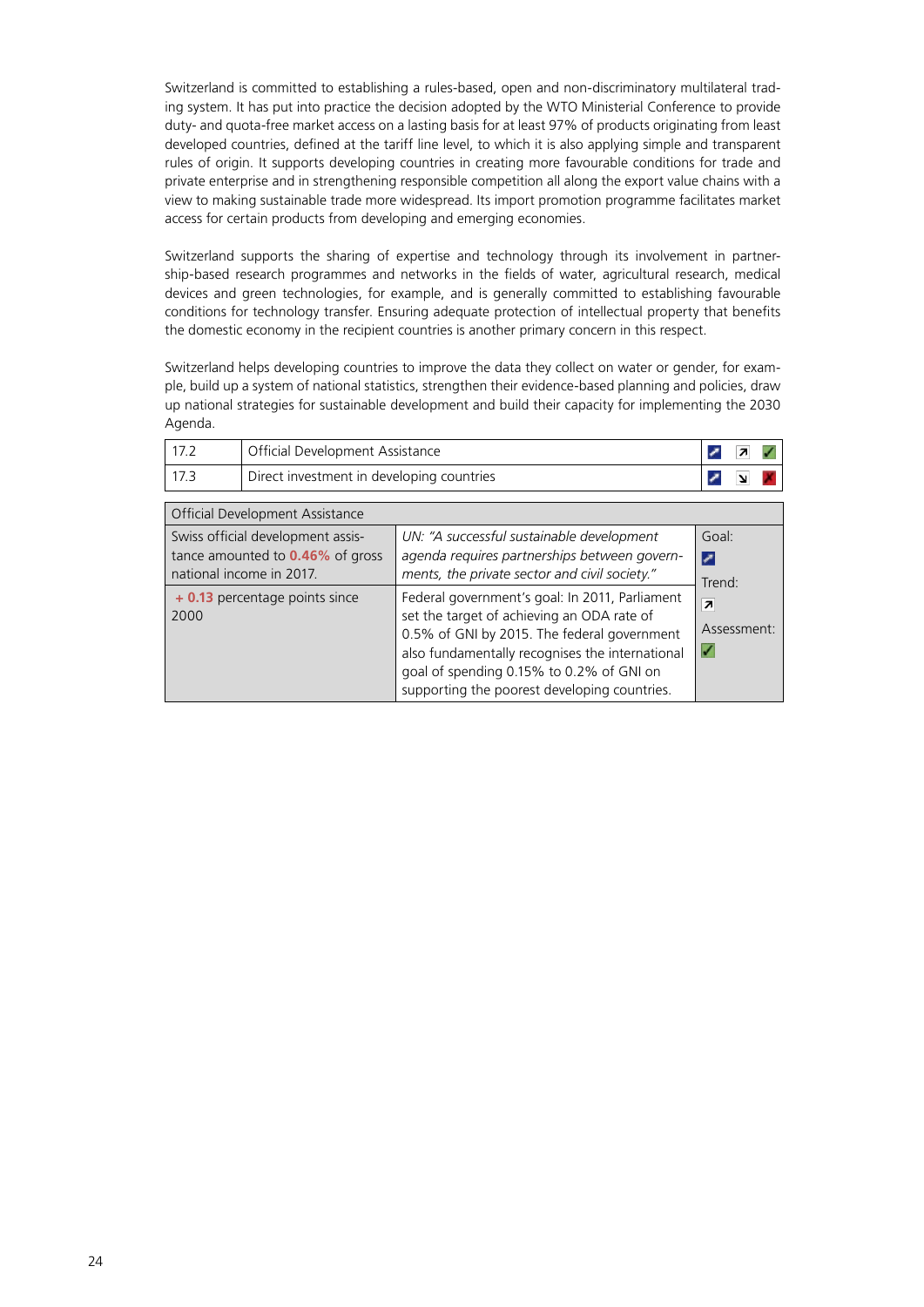Switzerland is committed to establishing a rules-based, open and non-discriminatory multilateral trading system. It has put into practice the decision adopted by the WTO Ministerial Conference to provide duty- and quota-free market access on a lasting basis for at least 97% of products originating from least developed countries, defined at the tariff line level, to which it is also applying simple and transparent rules of origin. It supports developing countries in creating more favourable conditions for trade and private enterprise and in strengthening responsible competition all along the export value chains with a view to making sustainable trade more widespread. Its import promotion programme facilitates market access for certain products from developing and emerging economies.

Switzerland supports the sharing of expertise and technology through its involvement in partnership-based research programmes and networks in the fields of water, agricultural research, medical devices and green technologies, for example, and is generally committed to establishing favourable conditions for technology transfer. Ensuring adequate protection of intellectual property that benefits the domestic economy in the recipient countries is another primary concern in this respect.

Switzerland helps developing countries to improve the data they collect on water or gender, for example, build up a system of national statistics, strengthen their evidence-based planning and policies, draw up national strategies for sustainable development and build their capacity for implementing the 2030 Agenda.

| Official Development Assistance           |  |  |
|-------------------------------------------|--|--|
| Direct investment in developing countries |  |  |

| Official Development Assistance                                                                          |                                                                                                                                                                                                                                                                                            |                                             |
|----------------------------------------------------------------------------------------------------------|--------------------------------------------------------------------------------------------------------------------------------------------------------------------------------------------------------------------------------------------------------------------------------------------|---------------------------------------------|
| Swiss official development assis-<br>tance amounted to <b>0.46%</b> of gross<br>national income in 2017. | UN: "A successful sustainable development<br>agenda requires partnerships between govern-<br>ments, the private sector and civil society."                                                                                                                                                 | Goal:<br>⇂<br>Trend:                        |
| + 0.13 percentage points since<br>2000                                                                   | Federal government's goal: In 2011, Parliament<br>set the target of achieving an ODA rate of<br>0.5% of GNI by 2015. The federal government<br>also fundamentally recognises the international<br>goal of spending 0.15% to 0.2% of GNI on<br>supporting the poorest developing countries. | $\overline{\mathbf{z}}$<br>Assessment:<br>✓ |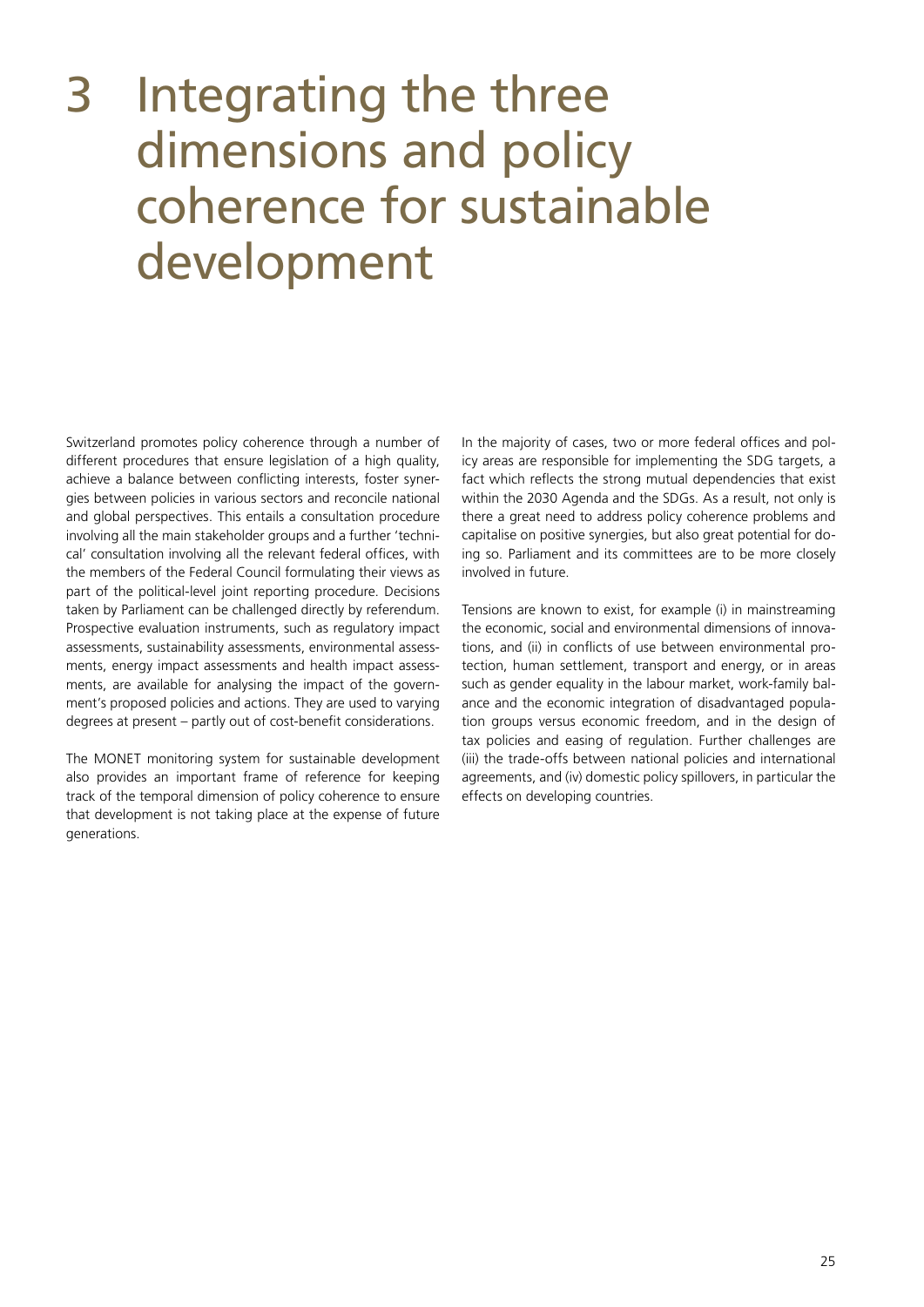### <span id="page-24-0"></span>3 Integrating the three dimensions and policy coherence for sustainable development

Switzerland promotes policy coherence through a number of different procedures that ensure legislation of a high quality, achieve a balance between conflicting interests, foster synergies between policies in various sectors and reconcile national and global perspectives. This entails a consultation procedure involving all the main stakeholder groups and a further 'technical' consultation involving all the relevant federal offices, with the members of the Federal Council formulating their views as part of the political-level joint reporting procedure. Decisions taken by Parliament can be challenged directly by referendum. Prospective evaluation instruments, such as regulatory impact assessments, sustainability assessments, environmental assessments, energy impact assessments and health impact assessments, are available for analysing the impact of the government's proposed policies and actions. They are used to varying degrees at present – partly out of cost-benefit considerations.

The MONET monitoring system for sustainable development also provides an important frame of reference for keeping track of the temporal dimension of policy coherence to ensure that development is not taking place at the expense of future generations.

In the majority of cases, two or more federal offices and policy areas are responsible for implementing the SDG targets, a fact which reflects the strong mutual dependencies that exist within the 2030 Agenda and the SDGs. As a result, not only is there a great need to address policy coherence problems and capitalise on positive synergies, but also great potential for doing so. Parliament and its committees are to be more closely involved in future.

Tensions are known to exist, for example (i) in mainstreaming the economic, social and environmental dimensions of innovations, and (ii) in conflicts of use between environmental protection, human settlement, transport and energy, or in areas such as gender equality in the labour market, work-family balance and the economic integration of disadvantaged population groups versus economic freedom, and in the design of tax policies and easing of regulation. Further challenges are (iii) the trade-offs between national policies and international agreements, and (iv) domestic policy spillovers, in particular the effects on developing countries.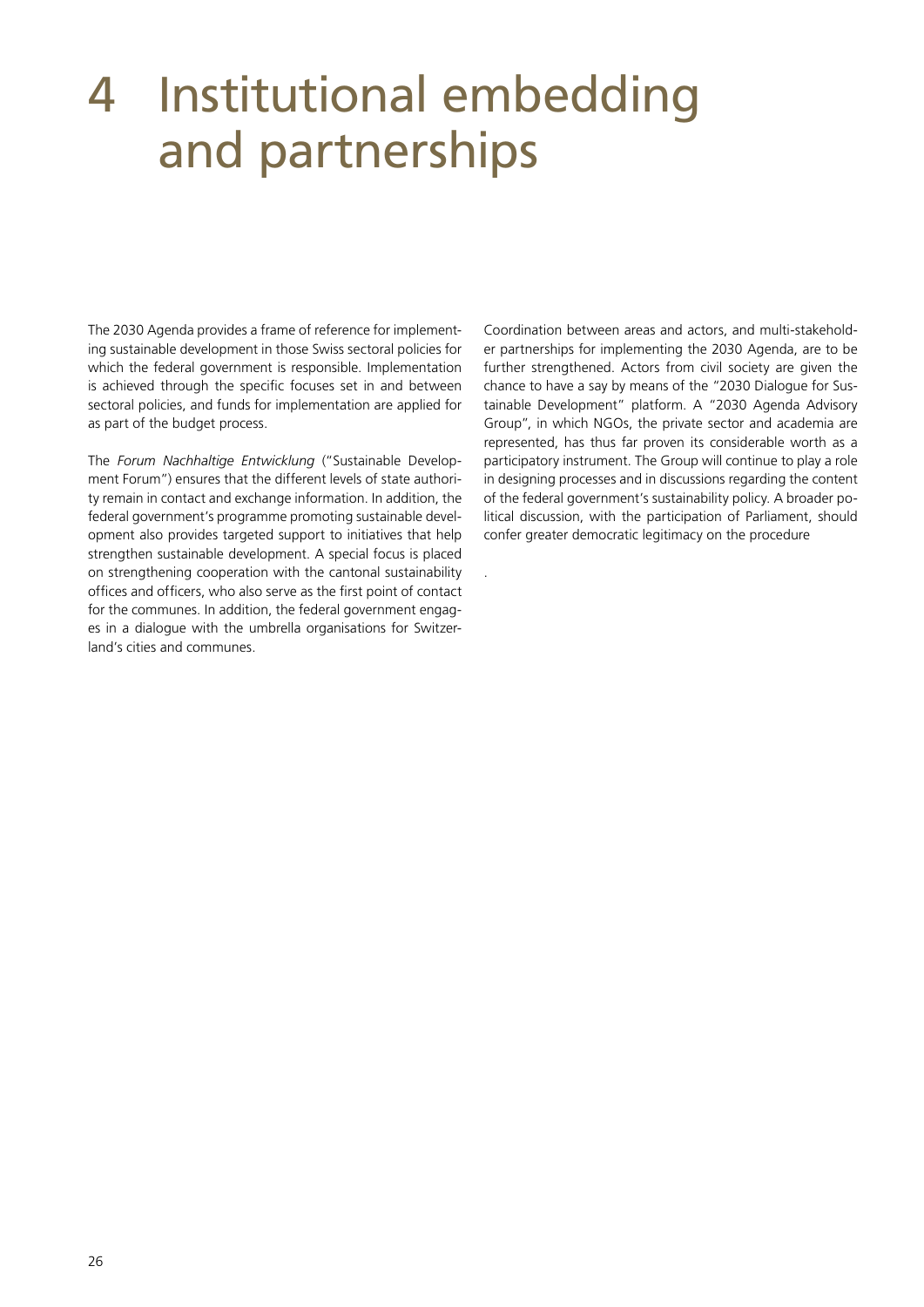### <span id="page-25-0"></span>4 Institutional embedding and partnerships

.

The 2030 Agenda provides a frame of reference for implementing sustainable development in those Swiss sectoral policies for which the federal government is responsible. Implementation is achieved through the specific focuses set in and between sectoral policies, and funds for implementation are applied for as part of the budget process.

The *Forum Nachhaltige Entwicklung* ("Sustainable Development Forum") ensures that the different levels of state authority remain in contact and exchange information. In addition, the federal government's programme promoting sustainable development also provides targeted support to initiatives that help strengthen sustainable development. A special focus is placed on strengthening cooperation with the cantonal sustainability offices and officers, who also serve as the first point of contact for the communes. In addition, the federal government engages in a dialogue with the umbrella organisations for Switzerland's cities and communes.

Coordination between areas and actors, and multi-stakeholder partnerships for implementing the 2030 Agenda, are to be further strengthened. Actors from civil society are given the chance to have a say by means of the "2030 Dialogue for Sustainable Development" platform. A "2030 Agenda Advisory Group", in which NGOs, the private sector and academia are represented, has thus far proven its considerable worth as a participatory instrument. The Group will continue to play a role in designing processes and in discussions regarding the content of the federal government's sustainability policy. A broader political discussion, with the participation of Parliament, should confer greater democratic legitimacy on the procedure